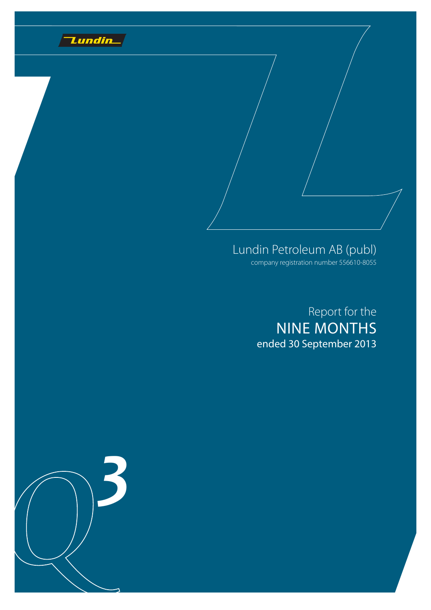

# Lundin Petroleum AB (publ)

company registration number 556610-8055

Report for the NINE MONTHS ended 30 September 2013

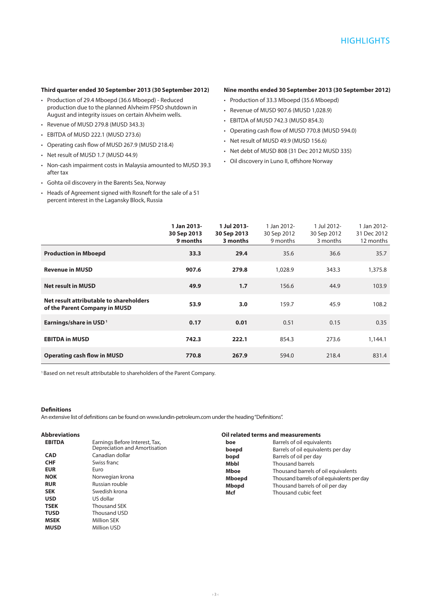#### **Third quarter ended 30 September 2013 (30 September 2012)**

- • Production of 29.4 Mboepd (36.6 Mboepd) Reduced production due to the planned Alvheim FPSO shutdown in August and integrity issues on certain Alvheim wells.
- • Revenue of MUSD 279.8 (MUSD 343.3)
- • EBITDA of MUSD 222.1 (MUSD 273.6)
- • Operating cash flow of MUSD 267.9 (MUSD 218.4)
- Net result of MUSD 1.7 (MUSD 44.9)
- Non-cash impairment costs in Malaysia amounted to MUSD 39.3 after tax
- • Gohta oil discovery in the Barents Sea, Norway
- • Heads of Agreement signed with Rosneft for the sale of a 51 percent interest in the Lagansky Block, Russia

#### **Nine months ended 30 September 2013 (30 September 2012)**

- • Production of 33.3 Mboepd (35.6 Mboepd)
- • Revenue of MUSD 907.6 (MUSD 1,028.9)
- • EBITDA of MUSD 742.3 (MUSD 854.3)
- • Operating cash flow of MUSD 770.8 (MUSD 594.0)
- • Net result of MUSD 49.9 (MUSD 156.6)
- • Net debt of MUSD 808 (31 Dec 2012 MUSD 335)
- • Oil discovery in Luno II, offshore Norway

|                                                                          | 1 Jan 2013-<br>30 Sep 2013<br>9 months | 1 Jul 2013-<br>30 Sep 2013<br>3 months | 1 Jan 2012-<br>30 Sep 2012<br>9 months | 1 Jul 2012-<br>30 Sep 2012<br>3 months | 1 Jan 2012-<br>31 Dec 2012<br>12 months |
|--------------------------------------------------------------------------|----------------------------------------|----------------------------------------|----------------------------------------|----------------------------------------|-----------------------------------------|
| <b>Production in Mboepd</b>                                              | 33.3                                   | 29.4                                   | 35.6                                   | 36.6                                   | 35.7                                    |
| <b>Revenue in MUSD</b>                                                   | 907.6                                  | 279.8                                  | 1,028.9                                | 343.3                                  | 1,375.8                                 |
| <b>Net result in MUSD</b>                                                | 49.9                                   | 1.7                                    | 156.6                                  | 44.9                                   | 103.9                                   |
| Net result attributable to shareholders<br>of the Parent Company in MUSD | 53.9                                   | 3.0                                    | 159.7                                  | 45.9                                   | 108.2                                   |
| Earnings/share in USD <sup>1</sup>                                       | 0.17                                   | 0.01                                   | 0.51                                   | 0.15                                   | 0.35                                    |
| <b>EBITDA in MUSD</b>                                                    | 742.3                                  | 222.1                                  | 854.3                                  | 273.6                                  | 1,144.1                                 |
| <b>Operating cash flow in MUSD</b>                                       | 770.8                                  | 267.9                                  | 594.0                                  | 218.4                                  | 831.4                                   |

<sup>1</sup> Based on net result attributable to shareholders of the Parent Company.

**Million USD** 

#### **Definitions**

An extensive list of definitions can be found on www.lundin-petroleum.com under the heading "Definitions".

| <b>Abbreviations</b> |                                | Oil related terms and measurements |                                             |  |  |  |
|----------------------|--------------------------------|------------------------------------|---------------------------------------------|--|--|--|
| <b>EBITDA</b>        | Earnings Before Interest, Tax, | boe                                | Barrels of oil equivalents                  |  |  |  |
|                      | Depreciation and Amortisation  | boepd                              | Barrels of oil equivalents per day          |  |  |  |
| <b>CAD</b>           | Canadian dollar                | bopd                               | Barrels of oil per day                      |  |  |  |
| <b>CHF</b>           | Swiss franc                    | Mbbl                               | <b>Thousand barrels</b>                     |  |  |  |
| <b>EUR</b>           | Euro                           | Mboe                               | Thousand barrels of oil equivalents         |  |  |  |
| <b>NOK</b>           | Norwegian krona                | <b>Mboepd</b>                      | Thousand barrels of oil equivalents per day |  |  |  |
| <b>RUR</b>           | Russian rouble                 | Mbopd                              | Thousand barrels of oil per day             |  |  |  |
| <b>SEK</b>           | Swedish krona                  | Mcf                                | Thousand cubic feet                         |  |  |  |
| <b>USD</b>           | US dollar                      |                                    |                                             |  |  |  |
| <b>TSEK</b>          | <b>Thousand SEK</b>            |                                    |                                             |  |  |  |
| <b>TUSD</b>          | Thousand USD                   |                                    |                                             |  |  |  |
| <b>MSEK</b>          | <b>Million SEK</b>             |                                    |                                             |  |  |  |
| <b>MUSD</b>          | Million USD                    |                                    |                                             |  |  |  |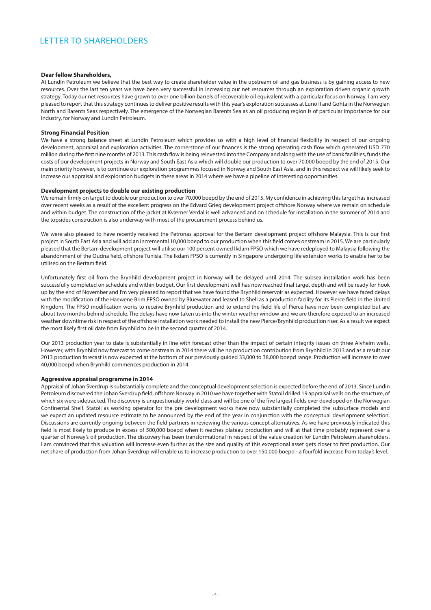### LETTER TO SHAREHOLDERS

#### **Dear fellow Shareholders,**

At Lundin Petroleum we believe that the best way to create shareholder value in the upstream oil and gas business is by gaining access to new resources. Over the last ten years we have been very successful in increasing our net resources through an exploration driven organic growth strategy. Today our net resources have grown to over one billion barrels of recoverable oil equivalent with a particular focus on Norway. I am very pleased to report that this strategy continues to deliver positive results with this year's exploration successes at Luno II and Gohta in the Norwegian North and Barents Seas respectively. The emergence of the Norwegian Barents Sea as an oil producing region is of particular importance for our industry, for Norway and Lundin Petroleum.

#### **Strong Financial Position**

We have a strong balance sheet at Lundin Petroleum which provides us with a high level of financial flexibility in respect of our ongoing development, appraisal and exploration activities. The cornerstone of our finances is the strong operating cash flow which generated USD 770 million during the first nine months of 2013. This cash flow is being reinvested into the Company and along with the use of bank facilities, funds the costs of our development projects in Norway and South East Asia which will double our production to over 70,000 boepd by the end of 2015. Our main priority however, is to continue our exploration programmes focused in Norway and South East Asia, and in this respect we will likely seek to increase our appraisal and exploration budgets in these areas in 2014 where we have a pipeline of interesting opportunities.

#### **Development projects to double our existing production**

We remain firmly on target to double our production to over 70,000 boepd by the end of 2015. My confidence in achieving this target has increased over recent weeks as a result of the excellent progress on the Edvard Grieg development project offshore Norway where we remain on schedule and within budget. The construction of the jacket at Kværner Verdal is well advanced and on schedule for installation in the summer of 2014 and the topsides construction is also underway with most of the procurement process behind us.

We were also pleased to have recently received the Petronas approval for the Bertam development project offshore Malaysia. This is our first project in South East Asia and will add an incremental 10,000 boepd to our production when this field comes onstream in 2015. We are particularly pleased that the Bertam development project will utilise our 100 percent owned Ikdam FPSO which we have redeployed to Malaysia following the abandonment of the Oudna field, offshore Tunisia. The Ikdam FPSO is currently in Singapore undergoing life extension works to enable her to be utilised on the Bertam field.

Unfortunately first oil from the Brynhild development project in Norway will be delayed until 2014. The subsea installation work has been successfully completed on schedule and within budget. Our first development well has now reached final target depth and will be ready for hook up by the end of November and I'm very pleased to report that we have found the Brynhild reservoir as expected. However we have faced delays with the modification of the Haewene Brim FPSO owned by Bluewater and leased to Shell as a production facility for its Pierce field in the United Kingdom. The FPSO modification works to receive Brynhild production and to extend the field life of Pierce have now been completed but are about two months behind schedule. The delays have now taken us into the winter weather window and we are therefore exposed to an increased weather downtime risk in respect of the offshore installation work needed to install the new Pierce/Brynhild production riser. As a result we expect the most likely first oil date from Brynhild to be in the second quarter of 2014.

Our 2013 production year to date is substantially in line with forecast other than the impact of certain integrity issues on three Alvheim wells. However, with Brynhild now forecast to come onstream in 2014 there will be no production contribution from Brynhild in 2013 and as a result our 2013 production forecast is now expected at the bottom of our previously guided 33,000 to 38,000 boepd range. Production will increase to over 40,000 boepd when Brynhild commences production in 2014.

#### **Aggressive appraisal programme in 2014**

Appraisal of Johan Sverdrup is substantially complete and the conceptual development selection is expected before the end of 2013. Since Lundin Petroleum discovered the Johan Sverdrup field, offshore Norway in 2010 we have together with Statoil drilled 19 appraisal wells on the structure, of which six were sidetracked. The discovery is unquestionably world class and will be one of the five largest fields ever developed on the Norwegian Continental Shelf. Statoil as working operator for the pre development works have now substantially completed the subsurface models and we expect an updated resource estimate to be announced by the end of the year in conjunction with the conceptual development selection. Discussions are currently ongoing between the field partners in reviewing the various concept alternatives. As we have previously indicated this field is most likely to produce in excess of 500,000 boepd when it reaches plateau production and will at that time probably represent over a quarter of Norway's oil production. The discovery has been transformational in respect of the value creation for Lundin Petroleum shareholders. I am convinced that this valuation will increase even further as the size and quality of this exceptional asset gets closer to first production. Our net share of production from Johan Sverdrup will enable us to increase production to over 150,000 boepd - a fourfold increase from today's level.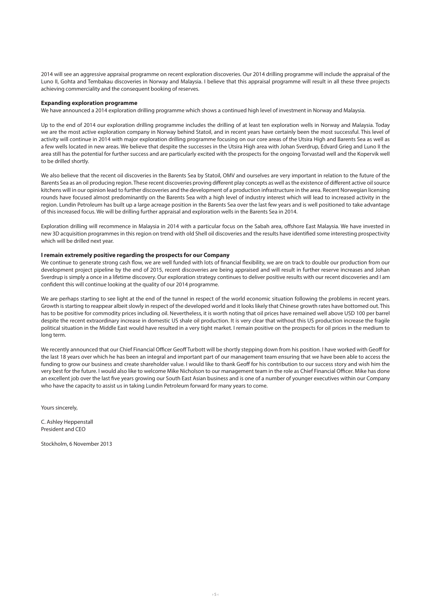2014 will see an aggressive appraisal programme on recent exploration discoveries. Our 2014 drilling programme will include the appraisal of the Luno II, Gohta and Tembakau discoveries in Norway and Malaysia. I believe that this appraisal programme will result in all these three projects achieving commerciality and the consequent booking of reserves.

#### **Expanding exploration programme**

We have announced a 2014 exploration drilling programme which shows a continued high level of investment in Norway and Malaysia.

Up to the end of 2014 our exploration drilling programme includes the drilling of at least ten exploration wells in Norway and Malaysia. Today we are the most active exploration company in Norway behind Statoil, and in recent years have certainly been the most successful. This level of activity will continue in 2014 with major exploration drilling programme focusing on our core areas of the Utsira High and Barents Sea as well as a few wells located in new areas. We believe that despite the successes in the Utsira High area with Johan Sverdrup, Edvard Grieg and Luno II the area still has the potential for further success and are particularly excited with the prospects for the ongoing Torvastad well and the Kopervik well to be drilled shortly.

We also believe that the recent oil discoveries in the Barents Sea by Statoil, OMV and ourselves are very important in relation to the future of the Barents Sea as an oil producing region. These recent discoveries proving different play concepts as well as the existence of different active oil source kitchens will in our opinion lead to further discoveries and the development of a production infrastructure in the area. Recent Norwegian licensing rounds have focused almost predominantly on the Barents Sea with a high level of industry interest which will lead to increased activity in the region. Lundin Petroleum has built up a large acreage position in the Barents Sea over the last few years and is well positioned to take advantage of this increased focus. We will be drilling further appraisal and exploration wells in the Barents Sea in 2014.

Exploration drilling will recommence in Malaysia in 2014 with a particular focus on the Sabah area, offshore East Malaysia. We have invested in new 3D acquisition programmes in this region on trend with old Shell oil discoveries and the results have identified some interesting prospectivity which will be drilled next year.

#### **I remain extremely positive regarding the prospects for our Company**

We continue to generate strong cash flow, we are well funded with lots of financial flexibility, we are on track to double our production from our development project pipeline by the end of 2015, recent discoveries are being appraised and will result in further reserve increases and Johan Sverdrup is simply a once in a lifetime discovery. Our exploration strategy continues to deliver positive results with our recent discoveries and I am confident this will continue looking at the quality of our 2014 programme.

We are perhaps starting to see light at the end of the tunnel in respect of the world economic situation following the problems in recent years. Growth is starting to reappear albeit slowly in respect of the developed world and it looks likely that Chinese growth rates have bottomed out. This has to be positive for commodity prices including oil. Nevertheless, it is worth noting that oil prices have remained well above USD 100 per barrel despite the recent extraordinary increase in domestic US shale oil production. It is very clear that without this US production increase the fragile political situation in the Middle East would have resulted in a very tight market. I remain positive on the prospects for oil prices in the medium to long term.

We recently announced that our Chief Financial Officer Geoff Turbott will be shortly stepping down from his position. I have worked with Geoff for the last 18 years over which he has been an integral and important part of our management team ensuring that we have been able to access the funding to grow our business and create shareholder value. I would like to thank Geoff for his contribution to our success story and wish him the very best for the future. I would also like to welcome Mike Nicholson to our management team in the role as Chief Financial Officer. Mike has done an excellent job over the last five years growing our South East Asian business and is one of a number of younger executives within our Company who have the capacity to assist us in taking Lundin Petroleum forward for many years to come.

Yours sincerely,

C. Ashley Heppenstall President and CEO

Stockholm, 6 November 2013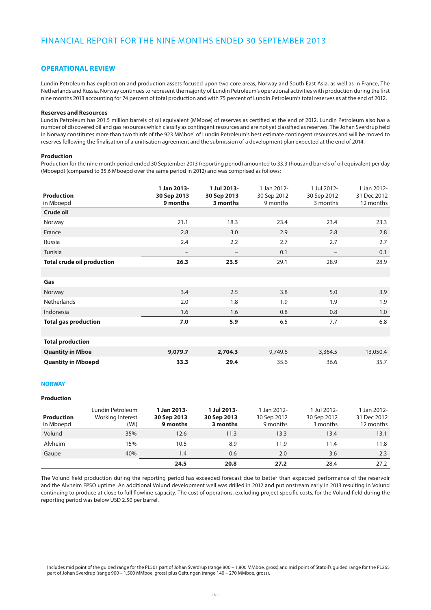### **OPERATIONAL REVIEW**

Lundin Petroleum has exploration and production assets focused upon two core areas, Norway and South East Asia, as well as in France, The Netherlands and Russia. Norway continues to represent the majority of Lundin Petroleum's operational activities with production during the first nine months 2013 accounting for 74 percent of total production and with 75 percent of Lundin Petroleum's total reserves as at the end of 2012.

#### **Reserves and Resources**

Lundin Petroleum has 201.5 million barrels of oil equivalent (MMboe) of reserves as certified at the end of 2012. Lundin Petroleum also has a number of discovered oil and gas resources which classify as contingent resources and are not yet classified as reserves. The Johan Sverdrup field in Norway constitutes more than two thirds of the 923 MMboe<sup>1</sup> of Lundin Petroleum's best estimate contingent resources and will be moved to reserves following the finalisation of a unitisation agreement and the submission of a development plan expected at the end of 2014.

#### **Production**

Production for the nine month period ended 30 September 2013 (reporting period) amounted to 33.3 thousand barrels of oil equivalent per day (Mboepd) (compared to 35.6 Mboepd over the same period in 2012) and was comprised as follows:

| <b>Production</b><br>in Mboepd    | 1 Jan 2013-<br>30 Sep 2013<br>9 months | 1 Jul 2013-<br>30 Sep 2013<br>3 months | 1 Jan 2012-<br>30 Sep 2012<br>9 months | 1 Jul 2012-<br>30 Sep 2012<br>3 months | 1 Jan 2012-<br>31 Dec 2012<br>12 months |
|-----------------------------------|----------------------------------------|----------------------------------------|----------------------------------------|----------------------------------------|-----------------------------------------|
| Crude oil                         |                                        |                                        |                                        |                                        |                                         |
| Norway                            | 21.1                                   | 18.3                                   | 23.4                                   | 23.4                                   | 23.3                                    |
| France                            | 2.8                                    | 3.0                                    | 2.9                                    | 2.8                                    | 2.8                                     |
| Russia                            | 2.4                                    | 2.2                                    | 2.7                                    | 2.7                                    | 2.7                                     |
| Tunisia                           | $\overline{\phantom{m}}$               | $\qquad \qquad -$                      | 0.1                                    | $\qquad \qquad -$                      | 0.1                                     |
| <b>Total crude oil production</b> | 26.3                                   | 23.5                                   | 29.1                                   | 28.9                                   | 28.9                                    |
|                                   |                                        |                                        |                                        |                                        |                                         |
| Gas                               |                                        |                                        |                                        |                                        |                                         |
| Norway                            | 3.4                                    | 2.5                                    | 3.8                                    | 5.0                                    | 3.9                                     |
| <b>Netherlands</b>                | 2.0                                    | 1.8                                    | 1.9                                    | 1.9                                    | 1.9                                     |
| Indonesia                         | 1.6                                    | 1.6                                    | 0.8                                    | 0.8                                    | 1.0                                     |
| <b>Total gas production</b>       | 7.0                                    | 5.9                                    | 6.5                                    | 7.7                                    | 6.8                                     |
|                                   |                                        |                                        |                                        |                                        |                                         |
| <b>Total production</b>           |                                        |                                        |                                        |                                        |                                         |
| <b>Quantity in Mboe</b>           | 9,079.7                                | 2,704.3                                | 9,749.6                                | 3,364.5                                | 13,050.4                                |
| <b>Quantity in Mboepd</b>         | 33.3                                   | 29.4                                   | 35.6                                   | 36.6                                   | 35.7                                    |

#### **NORWAY**

#### **Production**

| Production<br>in Mboepd | Lundin Petroleum<br>Working Interest<br>(WI) | 1 Jan 2013-<br>30 Sep 2013<br>9 months | 1 Jul 2013-<br>30 Sep 2013<br>3 months | 1 Jan 2012-<br>30 Sep 2012<br>9 months | 1 Jul 2012-<br>30 Sep 2012<br>3 months | 1 Jan 2012-<br>31 Dec 2012<br>12 months |
|-------------------------|----------------------------------------------|----------------------------------------|----------------------------------------|----------------------------------------|----------------------------------------|-----------------------------------------|
| Volund                  | 35%                                          | 12.6                                   | 11.3                                   | 13.3                                   | 13.4                                   | 13.1                                    |
| Alvheim                 | 15%                                          | 10.5                                   | 8.9                                    | 11.9                                   | 11.4                                   | 11.8                                    |
| Gaupe                   | 40%                                          | 1.4                                    | 0.6                                    | 2.0                                    | 3.6                                    | 2.3                                     |
|                         |                                              | 24.5                                   | 20.8                                   | 27.2                                   | 28.4                                   | 27.2                                    |

The Volund field production during the reporting period has exceeded forecast due to better than expected performance of the reservoir and the Alvheim FPSO uptime. An additional Volund development well was drilled in 2012 and put onstream early in 2013 resulting in Volund continuing to produce at close to full flowline capacity. The cost of operations, excluding project specific costs, for the Volund field during the reporting period was below USD 2.50 per barrel.

<sup>1</sup> Includes mid point of the quided range for the PL501 part of Johan Sverdrup (range 800 - 1,800 MMboe, gross) and mid point of Statoil's guided range for the PL265 part of Johan Sverdrup (range 900 – 1,500 MMboe, gross) plus Geitungen (range 140 – 270 MMboe, gross).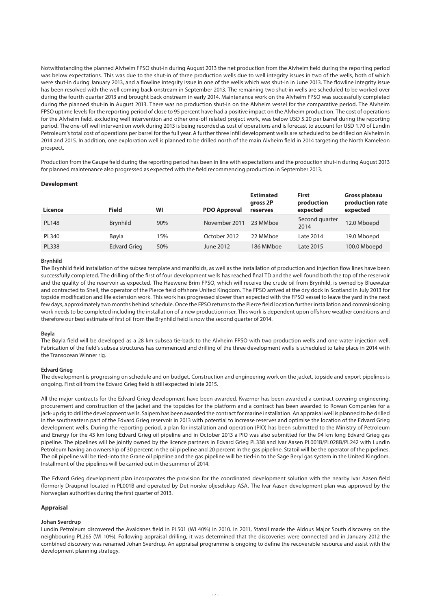Notwithstanding the planned Alvheim FPSO shut-in during August 2013 the net production from the Alvheim field during the reporting period was below expectations. This was due to the shut-in of three production wells due to well integrity issues in two of the wells, both of which were shut-in during January 2013, and a flowline integrity issue in one of the wells which was shut-in in June 2013. The flowline integrity issue has been resolved with the well coming back onstream in September 2013. The remaining two shut-in wells are scheduled to be worked over during the fourth quarter 2013 and brought back onstream in early 2014. Maintenance work on the Alvheim FPSO was successfully completed during the planned shut-in in August 2013. There was no production shut-in on the Alvheim vessel for the comparative period. The Alvheim FPSO uptime levels for the reporting period of close to 95 percent have had a positive impact on the Alvheim production. The cost of operations for the Alvheim field, excluding well intervention and other one-off related project work, was below USD 5.20 per barrel during the reporting period. The one-off well intervention work during 2013 is being recorded as cost of operations and is forecast to account for USD 1.70 of Lundin Petroleum's total cost of operations per barrel for the full year. A further three infill development wells are scheduled to be drilled on Alvheim in 2014 and 2015. In addition, one exploration well is planned to be drilled north of the main Alvheim field in 2014 targeting the North Kameleon prospect.

Production from the Gaupe field during the reporting period has been in line with expectations and the production shut-in during August 2013 for planned maintenance also progressed as expected with the field recommencing production in September 2013.

#### **Development**

| Licence      | <b>Field</b>        | WI  | <b>PDO Approval</b> | <b>Estimated</b><br>gross 2P<br>reserves | <b>First</b><br>production<br>expected | Gross plateau<br>production rate<br>expected |
|--------------|---------------------|-----|---------------------|------------------------------------------|----------------------------------------|----------------------------------------------|
| <b>PL148</b> | <b>Brynhild</b>     | 90% | November 2011       | 23 MMboe                                 | Second quarter<br>2014                 | 12.0 Mboepd                                  |
| PL340        | Bøyla               | 15% | October 2012        | 22 MMboe                                 | Late 2014                              | 19.0 Mboepd                                  |
| PL338        | <b>Edvard Grieg</b> | 50% | June 2012           | 186 MMboe                                | Late 2015                              | 100.0 Mboepd                                 |

#### **Brynhild**

The Brynhild field installation of the subsea template and manifolds, as well as the installation of production and injection flow lines have been successfully completed. The drilling of the first of four development wells has reached final TD and the well found both the top of the reservoir and the quality of the reservoir as expected. The Haewene Brim FPSO, which will receive the crude oil from Brynhild, is owned by Bluewater and contracted to Shell, the operator of the Pierce field offshore United Kingdom. The FPSO arrived at the dry dock in Scotland in July 2013 for topside modification and life extension work. This work has progressed slower than expected with the FPSO vessel to leave the yard in the next few days, approximately two months behind schedule. Once the FPSO returns to the Pierce field location further installation and commissioning work needs to be completed including the installation of a new production riser. This work is dependent upon offshore weather conditions and therefore our best estimate of first oil from the Brynhild field is now the second quarter of 2014.

#### **Bøyla**

The Bøyla field will be developed as a 28 km subsea tie-back to the Alvheim FPSO with two production wells and one water injection well. Fabrication of the field's subsea structures has commenced and drilling of the three development wells is scheduled to take place in 2014 with the Transocean Winner rig.

#### **Edvard Grieg**

The development is progressing on schedule and on budget. Construction and engineering work on the jacket, topside and export pipelines is ongoing. First oil from the Edvard Grieg field is still expected in late 2015.

All the major contracts for the Edvard Grieg development have been awarded. Kværner has been awarded a contract covering engineering, procurement and construction of the jacket and the topsides for the platform and a contract has been awarded to Rowan Companies for a jack-up rig to drill the development wells. Saipem has been awarded the contract for marine installation. An appraisal well is planned to be drilled in the southeastern part of the Edvard Grieg reservoir in 2013 with potential to increase reserves and optimise the location of the Edvard Grieg development wells. During the reporting period, a plan for installation and operation (PIO) has been submitted to the Ministry of Petroleum and Energy for the 43 km long Edvard Grieg oil pipeline and in October 2013 a PIO was also submitted for the 94 km long Edvard Grieg gas pipeline. The pipelines will be jointly owned by the licence partners in Edvard Grieg PL338 and Ivar Aasen PL001B/PL028B/PL242 with Lundin Petroleum having an ownership of 30 percent in the oil pipeline and 20 percent in the gas pipeline. Statoil will be the operator of the pipelines. The oil pipeline will be tied-into the Grane oil pipeline and the gas pipeline will be tied-in to the Sage Beryl gas system in the United Kingdom. Installment of the pipelines will be carried out in the summer of 2014.

The Edvard Grieg development plan incorporates the provision for the coordinated development solution with the nearby Ivar Aasen field (formerly Draupne) located in PL001B and operated by Det norske oljeselskap ASA. The Ivar Aasen development plan was approved by the Norwegian authorities during the first quarter of 2013.

#### **Appraisal**

#### **Johan Sverdrup**

Lundin Petroleum discovered the Avaldsnes field in PL501 (WI 40%) in 2010. In 2011, Statoil made the Aldous Major South discovery on the neighbouring PL265 (WI 10%). Following appraisal drilling, it was determined that the discoveries were connected and in January 2012 the combined discovery was renamed Johan Sverdrup. An appraisal programme is ongoing to define the recoverable resource and assist with the development planning strategy.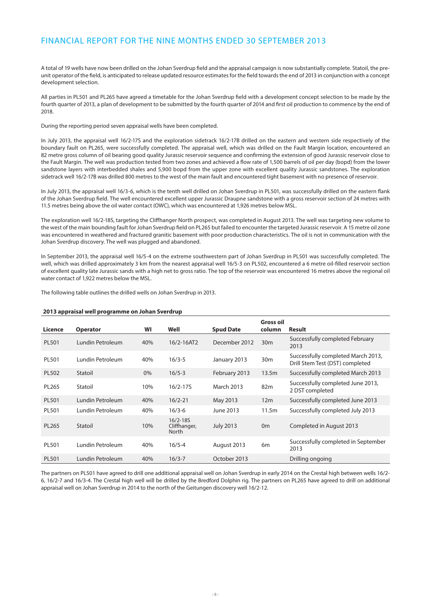### FINANCIAL REPORT FOR THE NINE MONTHS ENDED 30 SEPTEMBER 2013

A total of 19 wells have now been drilled on the Johan Sverdrup field and the appraisal campaign is now substantially complete. Statoil, the preunit operator of the field, is anticipated to release updated resource estimates for the field towards the end of 2013 in conjunction with a concept development selection.

All parties in PL501 and PL265 have agreed a timetable for the Johan Sverdrup field with a development concept selection to be made by the fourth quarter of 2013, a plan of development to be submitted by the fourth quarter of 2014 and first oil production to commence by the end of 2018.

During the reporting period seven appraisal wells have been completed.

In July 2013, the appraisal well 16/2-17S and the exploration sidetrack 16/2-17B drilled on the eastern and western side respectively of the boundary fault on PL265, were successfully completed. The appraisal well, which was drilled on the Fault Margin location, encountered an 82 metre gross column of oil bearing good quality Jurassic reservoir sequence and confirming the extension of good Jurassic reservoir close to the Fault Margin. The well was production tested from two zones and achieved a flow rate of 1,500 barrels of oil per day (bopd) from the lower sandstone layers with interbedded shales and 5,900 bopd from the upper zone with excellent quality Jurassic sandstones. The exploration sidetrack well 16/2-17B was drilled 800 metres to the west of the main fault and encountered tight basement with no presence of reservoir.

In July 2013, the appraisal well 16/3-6, which is the tenth well drilled on Johan Sverdrup in PL501, was successfully drilled on the eastern flank of the Johan Sverdrup field. The well encountered excellent upper Jurassic Draupne sandstone with a gross reservoir section of 24 metres with 11.5 metres being above the oil water contact (OWC), which was encountered at 1,926 metres below MSL.

The exploration well 16/2-18S, targeting the Cliffhanger North prospect, was completed in August 2013. The well was targeting new volume to the west of the main bounding fault for Johan Sverdrup field on PL265 but failed to encounter the targeted Jurassic reservoir. A 15 metre oil zone was encountered in weathered and fractured granitic basement with poor production characteristics. The oil is not in communication with the Johan Sverdrup discovery. The well was plugged and abandoned.

In September 2013, the appraisal well 16/5-4 on the extreme southwestern part of Johan Sverdrup in PL501 was successfully completed. The well, which was drilled approximately 3 km from the nearest appraisal well 16/5-3 on PL502, encountered a 6 metre oil-filled reservoir section of excellent quality late Jurassic sands with a high net to gross ratio. The top of the reservoir was encountered 16 metres above the regional oil water contact of 1,922 metres below the MSL.

The following table outlines the drilled wells on Johan Sverdrup in 2013.

#### **2013 appraisal well programme on Johan Sverdrup**

| Licence      | <b>Operator</b>  | WI    | Well                                         | <b>Spud Date</b>  | <b>Gross oil</b><br>column | Result                                                                |
|--------------|------------------|-------|----------------------------------------------|-------------------|----------------------------|-----------------------------------------------------------------------|
| <b>PL501</b> | Lundin Petroleum | 40%   | $16/2 - 16AT2$                               | December 2012     | 30 <sub>m</sub>            | Successfully completed February<br>2013                               |
| <b>PL501</b> | Lundin Petroleum | 40%   | $16/3-5$                                     | January 2013      | 30 <sub>m</sub>            | Successfully completed March 2013,<br>Drill Stem Test (DST) completed |
| <b>PL502</b> | Statoil          | $0\%$ | $16/5 - 3$                                   | February 2013     | 13.5m                      | Successfully completed March 2013                                     |
| PL265        | Statoil          | 10%   | $16/2 - 175$                                 | <b>March 2013</b> | 82m                        | Successfully completed June 2013,<br>2 DST completed                  |
| <b>PL501</b> | Lundin Petroleum | 40%   | $16/2 - 21$                                  | May 2013          | 12 <sub>m</sub>            | Successfully completed June 2013                                      |
| <b>PL501</b> | Lundin Petroleum | 40%   | $16/3-6$                                     | June 2013         | 11.5m                      | Successfully completed July 2013                                      |
| PL265        | Statoil          | 10%   | $16/2 - 185$<br>Cliffhanger,<br><b>North</b> | <b>July 2013</b>  | 0 <sub>m</sub>             | Completed in August 2013                                              |
| <b>PL501</b> | Lundin Petroleum | 40%   | $16/5 - 4$                                   | August 2013       | 6 <sub>m</sub>             | Successfully completed in September<br>2013                           |
| <b>PL501</b> | Lundin Petroleum | 40%   | $16/3 - 7$                                   | October 2013      |                            | Drilling ongoing                                                      |

The partners on PL501 have agreed to drill one additional appraisal well on Johan Sverdrup in early 2014 on the Crestal high between wells 16/2- 6, 16/2-7 and 16/3-4. The Crestal high well will be drilled by the Bredford Dolphin rig. The partners on PL265 have agreed to drill on additional appraisal well on Johan Sverdrup in 2014 to the north of the Geitungen discovery well 16/2-12.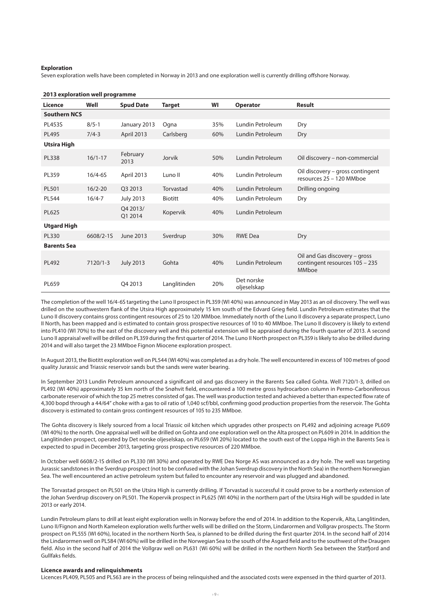#### **Exploration**

Seven exploration wells have been completed in Norway in 2013 and one exploration well is currently drilling offshore Norway.

| Licence             | Well         | <b>Spud Date</b>    | <b>Target</b>  | WI  | <b>Operator</b>           | Result                                                                   |
|---------------------|--------------|---------------------|----------------|-----|---------------------------|--------------------------------------------------------------------------|
| <b>Southern NCS</b> |              |                     |                |     |                           |                                                                          |
| <b>PL453S</b>       | $8/5 - 1$    | January 2013        | Ogna           | 35% | Lundin Petroleum          | Dry                                                                      |
| <b>PL495</b>        | $7/4-3$      | April 2013          | Carlsberg      | 60% | Lundin Petroleum          | Dry                                                                      |
| Utsira High         |              |                     |                |     |                           |                                                                          |
| PL338               | $16/1 - 17$  | February<br>2013    | Jorvik         | 50% | Lundin Petroleum          | Oil discovery - non-commercial                                           |
| PL359               | $16/4 - 65$  | April 2013          | Luno II        | 40% | Lundin Petroleum          | Oil discovery – gross contingent<br>resources 25 - 120 MMboe             |
| <b>PL501</b>        | $16/2 - 20$  | Q3 2013             | Torvastad      | 40% | Lundin Petroleum          | Drilling ongoing                                                         |
| <b>PL544</b>        | $16/4 - 7$   | <b>July 2013</b>    | <b>Biotitt</b> | 40% | Lundin Petroleum          | Dry                                                                      |
| <b>PL625</b>        |              | Q4 2013/<br>Q1 2014 | Kopervik       | 40% | Lundin Petroleum          |                                                                          |
| <b>Utgard High</b>  |              |                     |                |     |                           |                                                                          |
| PL330               | 6608/2-1S    | June 2013           | Sverdrup       | 30% | <b>RWE Dea</b>            | Dry                                                                      |
| <b>Barents Sea</b>  |              |                     |                |     |                           |                                                                          |
| PL492               | $7120/1 - 3$ | <b>July 2013</b>    | Gohta          | 40% | Lundin Petroleum          | Oil and Gas discovery – gross<br>contingent resources 105 - 235<br>MMboe |
| <b>PL659</b>        |              | Q4 2013             | Langlitinden   | 20% | Det norske<br>oljeselskap |                                                                          |

#### **2013 exploration well programme**

The completion of the well 16/4-6S targeting the Luno II prospect in PL359 (WI 40%) was announced in May 2013 as an oil discovery. The well was drilled on the southwestern flank of the Utsira High approximately 15 km south of the Edvard Grieg field. Lundin Petroleum estimates that the Luno II discovery contains gross contingent resources of 25 to 120 MMboe. Immediately north of the Luno II discovery a separate prospect, Luno II North, has been mapped and is estimated to contain gross prospective resources of 10 to 40 MMboe. The Luno II discovery is likely to extend into PL410 (WI 70%) to the east of the discovery well and this potential extension will be appraised during the fourth quarter of 2013. A second Luno II appraisal well will be drilled on PL359 during the first quarter of 2014. The Luno II North prospect on PL359 is likely to also be drilled during 2014 and will also target the 23 MMboe Fignon Miocene exploration prospect.

In August 2013, the Biotitt exploration well on PL544 (WI 40%) was completed as a dry hole. The well encountered in excess of 100 metres of good quality Jurassic and Triassic reservoir sands but the sands were water bearing.

In September 2013 Lundin Petroleum announced a significant oil and gas discovery in the Barents Sea called Gohta. Well 7120/1-3, drilled on PL492 (WI 40%) approximately 35 km north of the Snøhvit field, encountered a 100 metre gross hydrocarbon column in Permo-Carboniferous carbonate reservoir of which the top 25 metres consisted of gas. The well was production tested and achieved a better than expected flow rate of 4,300 bopd through a 44/64" choke with a gas to oil ratio of 1,040 scf/bbl, confirming good production properties from the reservoir. The Gohta discovery is estimated to contain gross contingent resources of 105 to 235 MMboe.

The Gohta discovery is likely sourced from a local Triassic oil kitchen which upgrades other prospects on PL492 and adjoining acreage PL609 (WI 40%) to the north. One appraisal well will be drilled on Gohta and one exploration well on the Alta prospect on PL609 in 2014. In addition the Langlitinden prospect, operated by Det norske oljeselskap, on PL659 (WI 20%) located to the south east of the Loppa High in the Barents Sea is expected to spud in December 2013, targeting gross prospective resources of 220 MMboe.

In October well 6608/2-1S drilled on PL330 (WI 30%) and operated by RWE Dea Norge AS was announced as a dry hole. The well was targeting Jurassic sandstones in the Sverdrup prospect (not to be confused with the Johan Sverdrup discovery in the North Sea) in the northern Norwegian Sea. The well encountered an active petroleum system but failed to encounter any reservoir and was plugged and abandoned.

The Torvastad prospect on PL501 on the Utsira High is currently drilling. If Torvastad is successful it could prove to be a northerly extension of the Johan Sverdrup discovery on PL501. The Kopervik prospect in PL625 (WI 40%) in the northern part of the Utsira High will be spudded in late 2013 or early 2014.

Lundin Petroleum plans to drill at least eight exploration wells in Norway before the end of 2014. In addition to the Kopervik, Alta, Langlitinden, Luno II/Fignon and North Kameleon exploration wells further wells will be drilled on the Storm, Lindarormen and Vollgrav prospects. The Storm prospect on PL555 (WI 60%), located in the northern North Sea, is planned to be drilled during the first quarter 2014. In the second half of 2014 the Lindarormen well on PL584 (WI 60%) will be drilled in the Norwegian Sea to the south of the Asgard field and to the southwest of the Draugen field. Also in the second half of 2014 the Vollgrav well on PL631 (Wi 60%) will be drilled in the northern North Sea between the Statfjord and Gullfaks fields.

#### **Licence awards and relinquishments**

Licences PL409, PL505 and PL563 are in the process of being relinquished and the associated costs were expensed in the third quarter of 2013.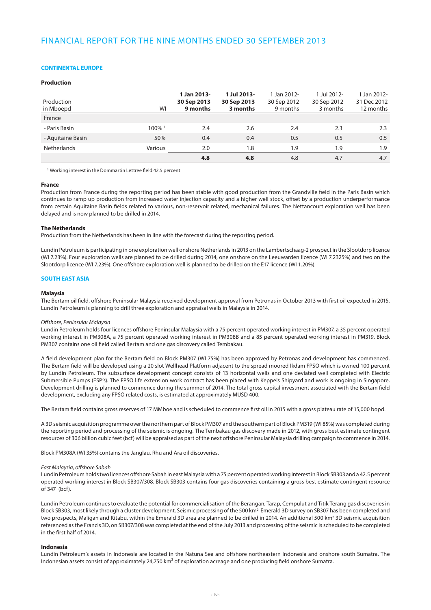#### **CONTINENTAL EUROPE**

#### **Production**

| Production<br>in Mboepd | WI                | 1 Jan 2013-<br>30 Sep 2013<br>9 months | 1 Jul 2013-<br>30 Sep 2013<br>3 months | 1 Jan 2012-<br>30 Sep 2012<br>9 months | 1 Jul 2012-<br>30 Sep 2012<br>3 months | 1 Jan 2012-<br>31 Dec 2012<br>12 months |
|-------------------------|-------------------|----------------------------------------|----------------------------------------|----------------------------------------|----------------------------------------|-----------------------------------------|
| France                  |                   |                                        |                                        |                                        |                                        |                                         |
| - Paris Basin           | 100% <sup>1</sup> | 2.4                                    | 2.6                                    | 2.4                                    | 2.3                                    | 2.3                                     |
| - Aquitaine Basin       | 50%               | 0.4                                    | 0.4                                    | 0.5                                    | 0.5                                    | 0.5                                     |
| <b>Netherlands</b>      | Various           | 2.0                                    | 1.8                                    | 1.9                                    | 1.9                                    | 1.9                                     |
|                         |                   | 4.8                                    | 4.8                                    | 4.8                                    | 4.7                                    | 4.7                                     |

<sup>1</sup> Working interest in the Dommartin Lettree field 42.5 percent

#### **France**

Production from France during the reporting period has been stable with good production from the Grandville field in the Paris Basin which continues to ramp up production from increased water injection capacity and a higher well stock, offset by a production underperformance from certain Aquitaine Basin fields related to various, non-reservoir related, mechanical failures. The Nettancourt exploration well has been delayed and is now planned to be drilled in 2014.

#### **The Netherlands**

Production from the Netherlands has been in line with the forecast during the reporting period.

Lundin Petroleum is participating in one exploration well onshore Netherlands in 2013 on the Lambertschaag-2 prospect in the Slootdorp licence (WI 7.23%). Four exploration wells are planned to be drilled during 2014, one onshore on the Leeuwarden licence (WI 7.2325%) and two on the Slootdorp licence (WI 7.23%). One offshore exploration well is planned to be drilled on the E17 licence (WI 1.20%).

#### **SOUTH EAST ASIA**

#### **Malaysia**

The Bertam oil field, offshore Peninsular Malaysia received development approval from Petronas in October 2013 with first oil expected in 2015. Lundin Petroleum is planning to drill three exploration and appraisal wells in Malaysia in 2014.

#### *Offshore, Peninsular Malaysia*

Lundin Petroleum holds four licences offshore Peninsular Malaysia with a 75 percent operated working interest in PM307, a 35 percent operated working interest in PM308A, a 75 percent operated working interest in PM308B and a 85 percent operated working interest in PM319. Block PM307 contains one oil field called Bertam and one gas discovery called Tembakau.

A field development plan for the Bertam field on Block PM307 (WI 75%) has been approved by Petronas and development has commenced. The Bertam field will be developed using a 20 slot Wellhead Platform adjacent to the spread moored Ikdam FPSO which is owned 100 percent by Lundin Petroleum. The subsurface development concept consists of 13 horizontal wells and one deviated well completed with Electric Submersible Pumps (ESP's). The FPSO life extension work contract has been placed with Keppels Shipyard and work is ongoing in Singapore. Development drilling is planned to commence during the summer of 2014. The total gross capital investment associated with the Bertam field development, excluding any FPSO related costs, is estimated at approximately MUSD 400.

The Bertam field contains gross reserves of 17 MMboe and is scheduled to commence first oil in 2015 with a gross plateau rate of 15,000 bopd.

A 3D seismic acquisition programme over the northern part of Block PM307 and the southern part of Block PM319 (WI 85%) was completed during the reporting period and processing of the seismic is ongoing. The Tembakau gas discovery made in 2012, with gross best estimate contingent resources of 306 billion cubic feet (bcf) will be appraised as part of the next offshore Peninsular Malaysia drilling campaign to commence in 2014.

Block PM308A (WI 35%) contains the Janglau, Rhu and Ara oil discoveries.

#### *East Malaysia, offshore Sabah*

Lundin Petroleum holds two licences offshore Sabah in east Malaysia with a 75 percent operated working interest in Block SB303 and a 42.5 percent operated working interest in Block SB307/308. Block SB303 contains four gas discoveries containing a gross best estimate contingent resource of 347 (bcf).

Lundin Petroleum continues to evaluate the potential for commercialisation of the Berangan, Tarap, Cempulut and Titik Terang gas discoveries in Block SB303, most likely through a cluster development. Seismic processing of the 500 km² Emerald 3D survey on SB307 has been completed and two prospects, Maligan and Kitabu, within the Emerald 3D area are planned to be drilled in 2014. An additional 500 km<sup>2</sup> 3D seismic acquisition referenced as the Francis 3D, on SB307/308 was completed at the end of the July 2013 and processing of the seismic is scheduled to be completed in the first half of 2014.

#### **Indonesia**

Lundin Petroleum's assets in Indonesia are located in the Natuna Sea and offshore northeastern Indonesia and onshore south Sumatra. The Indonesian assets consist of approximately 24,750 km<sup>2</sup> of exploration acreage and one producing field onshore Sumatra.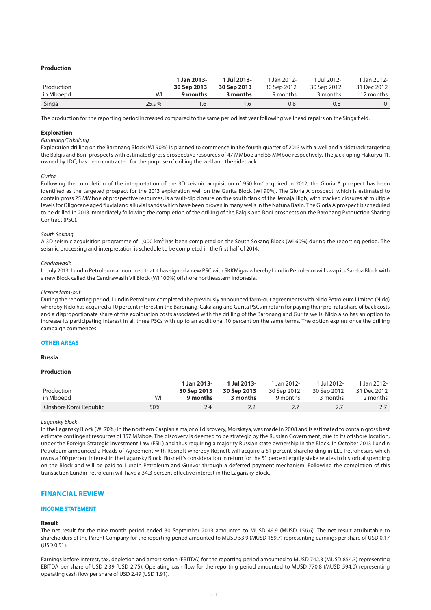#### **Production**

| Production |       | 1 Jan 2013-<br>30 Sep 2013 | 1 Jul 2013-<br>30 Sep 2013 | <sup>1</sup> Jan 2012-<br>30 Sep 2012 | 1 Jul 2012-<br>30 Sep 2012 | 1 Jan 2012-<br>31 Dec 2012 |
|------------|-------|----------------------------|----------------------------|---------------------------------------|----------------------------|----------------------------|
| in Mboepd  | WI    | 9 months                   | 3 months                   | 9 months                              | 3 months                   | 12 months                  |
| Singa      | 25.9% |                            | 1.6                        | 0.8                                   | 0.8                        | 1.0                        |

The production for the reporting period increased compared to the same period last year following wellhead repairs on the Singa field.

#### **Exploration**

#### *Baronang/Cakalang*

Exploration drilling on the Baronang Block (WI 90%) is planned to commence in the fourth quarter of 2013 with a well and a sidetrack targeting the Balqis and Boni prospects with estimated gross prospective resources of 47 MMboe and 55 MMboe respectively. The jack-up rig Hakuryu 11, owned by JDC, has been contracted for the purpose of drilling the well and the sidetrack.

#### *Gurita*

Following the completion of the interpretation of the 3D seismic acquisition of 950 km<sup>2</sup> acquired in 2012, the Gloria A prospect has been identified as the targeted prospect for the 2013 exploration well on the Gurita Block (WI 90%). The Gloria A prospect, which is estimated to contain gross 25 MMboe of prospective resources, is a fault-dip closure on the south flank of the Jemaja High, with stacked closures at multiple levels for Oligocene aged fluvial and alluvial sands which have been proven in many wells in the Natuna Basin. The Gloria A prospect is scheduled to be drilled in 2013 immediately following the completion of the drilling of the Balqis and Boni prospects on the Baronang Production Sharing Contract (PSC).

#### *South Sokang*

A 3D seismic acquisition programme of 1,000 km² has been completed on the South Sokang Block (WI 60%) during the reporting period. The seismic processing and interpretation is schedule to be completed in the first half of 2014.

#### *Cendrawasih*

In July 2013, Lundin Petroleum announced that it has signed a new PSC with SKKMigas whereby Lundin Petroleum will swap its Sareba Block with a new Block called the Cendrawasih VII Block (WI 100%) offshore northeastern Indonesia.

#### *Licence farm-out*

During the reporting period, Lundin Petroleum completed the previously announced farm-out agreements with Nido Petroleum Limited (Nido) whereby Nido has acquired a 10 percent interest in the Baronang, Cakalang and Gurita PSCs in return for paying their pro-rata share of back costs and a disproportionate share of the exploration costs associated with the drilling of the Baronang and Gurita wells. Nido also has an option to increase its participating interest in all three PSCs with up to an additional 10 percent on the same terms. The option expires once the drilling campaign commences.

#### **OTHER AREAS**

#### **Russia**

#### **Production**

| Production<br>in Mboepd | WI  | 1 Jan 2013-<br>30 Sep 2013<br>9 months | 1 Jul 2013-<br>30 Sep 2013<br>3 months | 1 Jan 2012-<br>30 Sep 2012<br>9 months | <sup>1</sup> Jul 2012-<br>30 Sep 2012<br>3 months | 1 Jan 2012-<br>31 Dec 2012<br>12 months |
|-------------------------|-----|----------------------------------------|----------------------------------------|----------------------------------------|---------------------------------------------------|-----------------------------------------|
| Onshore Komi Republic   | 50% | 2.4                                    | 2.2                                    | 2.7                                    |                                                   | 2.7                                     |

#### *Lagansky Block*

In the Lagansky Block (WI 70%) in the northern Caspian a major oil discovery, Morskaya, was made in 2008 and is estimated to contain gross best estimate contingent resources of 157 MMboe. The discovery is deemed to be strategic by the Russian Government, due to its offshore location, under the Foreign Strategic Investment Law (FSIL) and thus requiring a majority Russian state ownership in the Block. In October 2013 Lundin Petroleum announced a Heads of Agreement with Rosneft whereby Rosneft will acquire a 51 percent shareholding in LLC PetroResurs which owns a 100 percent interest in the Lagansky Block. Rosneft's consideration in return for the 51 percent equity stake relates to historical spending on the Block and will be paid to Lundin Petroleum and Gunvor through a deferred payment mechanism. Following the completion of this transaction Lundin Petroleum will have a 34.3 percent effective interest in the Lagansky Block.

#### **FINANCIAL REVIEW**

#### **INCOME STATEMENT**

#### **Result**

The net result for the nine month period ended 30 September 2013 amounted to MUSD 49.9 (MUSD 156.6). The net result attributable to shareholders of the Parent Company for the reporting period amounted to MUSD 53.9 (MUSD 159.7) representing earnings per share of USD 0.17  $(USD 0.51)$ 

Earnings before interest, tax, depletion and amortisation (EBITDA) for the reporting period amounted to MUSD 742.3 (MUSD 854.3) representing EBITDA per share of USD 2.39 (USD 2.75). Operating cash flow for the reporting period amounted to MUSD 770.8 (MUSD 594.0) representing operating cash flow per share of USD 2.49 (USD 1.91).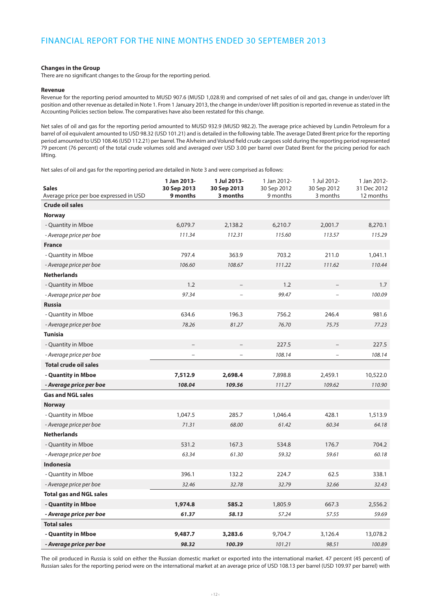#### **Changes in the Group**

There are no significant changes to the Group for the reporting period.

#### **Revenue**

Revenue for the reporting period amounted to MUSD 907.6 (MUSD 1,028.9) and comprised of net sales of oil and gas, change in under/over lift position and other revenue as detailed in Note 1. From 1 January 2013, the change in under/over lift position is reported in revenue as stated in the Accounting Policies section below. The comparatives have also been restated for this change.

Net sales of oil and gas for the reporting period amounted to MUSD 932.9 (MUSD 982.2). The average price achieved by Lundin Petroleum for a barrel of oil equivalent amounted to USD 98.32 (USD 101.21) and is detailed in the following table. The average Dated Brent price for the reporting period amounted to USD 108.46 (USD 112.21) per barrel. The Alvheim and Volund field crude cargoes sold during the reporting period represented 79 percent (76 percent) of the total crude volumes sold and averaged over USD 3.00 per barrel over Dated Brent for the pricing period for each lifting.

Net sales of oil and gas for the reporting period are detailed in Note 3 and were comprised as follows:

|                                                        | 1 Jan 2013-              | 1 Jul 2013-              | 1 Jan 2012-             | 1 Jul 2012-              | 1 Jan 2012-              |
|--------------------------------------------------------|--------------------------|--------------------------|-------------------------|--------------------------|--------------------------|
| <b>Sales</b><br>Average price per boe expressed in USD | 30 Sep 2013<br>9 months  | 30 Sep 2013<br>3 months  | 30 Sep 2012<br>9 months | 30 Sep 2012<br>3 months  | 31 Dec 2012<br>12 months |
| <b>Crude oil sales</b>                                 |                          |                          |                         |                          |                          |
| <b>Norway</b>                                          |                          |                          |                         |                          |                          |
| - Quantity in Mboe                                     | 6,079.7                  | 2,138.2                  | 6,210.7                 | 2,001.7                  | 8,270.1                  |
| - Average price per boe                                | 111.34                   | 112.31                   | 115.60                  | 113.57                   | 115.29                   |
| <b>France</b>                                          |                          |                          |                         |                          |                          |
| - Quantity in Mboe                                     | 797.4                    | 363.9                    | 703.2                   | 211.0                    | 1,041.1                  |
| - Average price per boe                                | 106.60                   | 108.67                   | 111.22                  | 111.62                   | 110.44                   |
| <b>Netherlands</b>                                     |                          |                          |                         |                          |                          |
| - Quantity in Mboe                                     | 1.2                      |                          | 1.2                     |                          | 1.7                      |
| - Average price per boe                                | 97.34                    | $\overline{a}$           | 99.47                   | $\overline{a}$           | 100.09                   |
| <b>Russia</b>                                          |                          |                          |                         |                          |                          |
| - Quantity in Mboe                                     | 634.6                    | 196.3                    | 756.2                   | 246.4                    | 981.6                    |
| - Average price per boe                                | 78.26                    | 81.27                    | 76.70                   | 75.75                    | 77.23                    |
| <b>Tunisia</b>                                         |                          |                          |                         |                          |                          |
| - Quantity in Mboe                                     | $\qquad \qquad -$        | $\overline{\phantom{0}}$ | 227.5                   | $\overline{\phantom{0}}$ | 227.5                    |
| - Average price per boe                                | $\overline{\phantom{0}}$ |                          | 108.14                  |                          | 108.14                   |
| <b>Total crude oil sales</b>                           |                          |                          |                         |                          |                          |
| - Quantity in Mboe                                     | 7,512.9                  | 2,698.4                  | 7,898.8                 | 2,459.1                  | 10,522.0                 |
| - Average price per boe                                | 108.04                   | 109.56                   | 111.27                  | 109.62                   | 110.90                   |
| <b>Gas and NGL sales</b>                               |                          |                          |                         |                          |                          |
| <b>Norway</b>                                          |                          |                          |                         |                          |                          |
| - Quantity in Mboe                                     | 1,047.5                  | 285.7                    | 1,046.4                 | 428.1                    | 1,513.9                  |
| - Average price per boe                                | 71.31                    | 68.00                    | 61.42                   | 60.34                    | 64.18                    |
| <b>Netherlands</b>                                     |                          |                          |                         |                          |                          |
| - Quantity in Mboe                                     | 531.2                    | 167.3                    | 534.8                   | 176.7                    | 704.2                    |
| - Average price per boe                                | 63.34                    | 61.30                    | 59.32                   | 59.61                    | 60.18                    |
| Indonesia                                              |                          |                          |                         |                          |                          |
| - Quantity in Mboe                                     | 396.1                    | 132.2                    | 224.7                   | 62.5                     | 338.1                    |
| - Average price per boe                                | 32.46                    | 32.78                    | 32.79                   | 32.66                    | 32.43                    |
| <b>Total gas and NGL sales</b>                         |                          |                          |                         |                          |                          |
| - Quantity in Mboe                                     | 1,974.8                  | 585.2                    | 1,805.9                 | 667.3                    | 2,556.2                  |
| - Average price per boe                                | 61.37                    | 58.13                    | 57.24                   | 57.55                    | 59.69                    |
| <b>Total sales</b>                                     |                          |                          |                         |                          |                          |
| - Quantity in Mboe                                     | 9,487.7                  | 3,283.6                  | 9,704.7                 | 3,126.4                  | 13,078.2                 |
| - Average price per boe                                | 98.32                    | 100.39                   | 101.21                  | 98.51                    | 100.89                   |

The oil produced in Russia is sold on either the Russian domestic market or exported into the international market. 47 percent (45 percent) of Russian sales for the reporting period were on the international market at an average price of USD 108.13 per barrel (USD 109.97 per barrel) with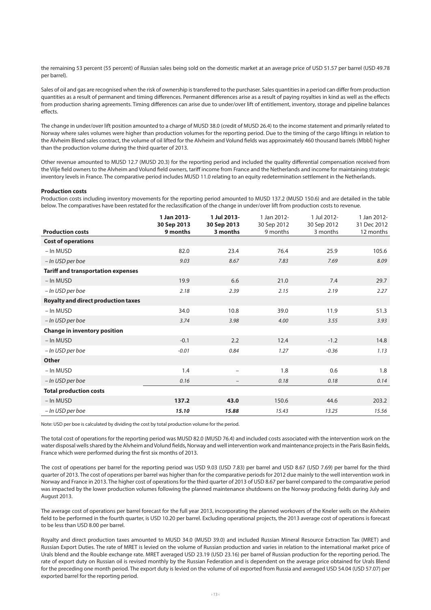the remaining 53 percent (55 percent) of Russian sales being sold on the domestic market at an average price of USD 51.57 per barrel (USD 49.78 per barrel).

Sales of oil and gas are recognised when the risk of ownership is transferred to the purchaser. Sales quantities in a period can differ from production quantities as a result of permanent and timing differences. Permanent differences arise as a result of paying royalties in kind as well as the effects from production sharing agreements. Timing differences can arise due to under/over lift of entitlement, inventory, storage and pipeline balances effects.

The change in under/over lift position amounted to a charge of MUSD 38.0 (credit of MUSD 26.4) to the income statement and primarily related to Norway where sales volumes were higher than production volumes for the reporting period. Due to the timing of the cargo liftings in relation to the Alvheim Blend sales contract, the volume of oil lifted for the Alvheim and Volund fields was approximately 460 thousand barrels (Mbbl) higher than the production volume during the third quarter of 2013.

Other revenue amounted to MUSD 12.7 (MUSD 20.3) for the reporting period and included the quality differential compensation received from the Vilje field owners to the Alvheim and Volund field owners, tariff income from France and the Netherlands and income for maintaining strategic inventory levels in France. The comparative period includes MUSD 11.0 relating to an equity redetermination settlement in the Netherlands.

#### **Production costs**

Production costs including inventory movements for the reporting period amounted to MUSD 137.2 (MUSD 150.6) and are detailed in the table below. The comparatives have been restated for the reclassification of the change in under/over lift from production costs to revenue.

|                                            | 1 Jan 2013-             | 1 Jul 2013-       | 1 Jan 2012-             | 1 Jul 2012-             | 1 Jan 2012-              |
|--------------------------------------------|-------------------------|-------------------|-------------------------|-------------------------|--------------------------|
| <b>Production costs</b>                    | 30 Sep 2013<br>9 months | 30 Sep 2013       | 30 Sep 2012<br>9 months | 30 Sep 2012<br>3 months | 31 Dec 2012<br>12 months |
|                                            |                         | 3 months          |                         |                         |                          |
| <b>Cost of operations</b>                  |                         |                   |                         |                         |                          |
| - In MUSD                                  | 82.0                    | 23.4              | 76.4                    | 25.9                    | 105.6                    |
| - In USD per boe                           | 9.03                    | 8.67              | 7.83                    | 7.69                    | 8.09                     |
| <b>Tariff and transportation expenses</b>  |                         |                   |                         |                         |                          |
| - In MUSD                                  | 19.9                    | 6.6               | 21.0                    | 7.4                     | 29.7                     |
| - In USD per boe                           | 2.18                    | 2.39              | 2.15                    | 2.19                    | 2.27                     |
| <b>Royalty and direct production taxes</b> |                         |                   |                         |                         |                          |
| - In MUSD                                  | 34.0                    | 10.8              | 39.0                    | 11.9                    | 51.3                     |
| - In USD per boe                           | 3.74                    | 3.98              | 4.00                    | 3.55                    | 3.93                     |
| <b>Change in inventory position</b>        |                         |                   |                         |                         |                          |
| - In MUSD                                  | $-0.1$                  | 2.2               | 12.4                    | $-1.2$                  | 14.8                     |
| - In USD per boe                           | $-0.01$                 | 0.84              | 1.27                    | $-0.36$                 | 1.13                     |
| <b>Other</b>                               |                         |                   |                         |                         |                          |
| - In MUSD                                  | 1.4                     | $\qquad \qquad -$ | 1.8                     | 0.6                     | 1.8                      |
| - In USD per boe                           | 0.16                    | -                 | 0.18                    | 0.18                    | 0.14                     |
| <b>Total production costs</b>              |                         |                   |                         |                         |                          |
| - In MUSD                                  | 137.2                   | 43.0              | 150.6                   | 44.6                    | 203.2                    |
| - In USD per boe                           | 15.10                   | 15.88             | 15.43                   | 13.25                   | 15.56                    |

Note: USD per boe is calculated by dividing the cost by total production volume for the period.

The total cost of operations for the reporting period was MUSD 82.0 (MUSD 76.4) and included costs associated with the intervention work on the water disposal wells shared by the Alvheim and Volund fields, Norway and well intervention work and maintenance projects in the Paris Basin fields, France which were performed during the first six months of 2013.

The cost of operations per barrel for the reporting period was USD 9.03 (USD 7.83) per barrel and USD 8.67 (USD 7.69) per barrel for the third quarter of 2013. The cost of operations per barrel was higher than for the comparative periods for 2012 due mainly to the well intervention work in Norway and France in 2013. The higher cost of operations for the third quarter of 2013 of USD 8.67 per barrel compared to the comparative period was impacted by the lower production volumes following the planned maintenance shutdowns on the Norway producing fields during July and August 2013.

The average cost of operations per barrel forecast for the full year 2013, incorporating the planned workovers of the Kneler wells on the Alvheim field to be performed in the fourth quarter, is USD 10.20 per barrel. Excluding operational projects, the 2013 average cost of operations is forecast to be less than USD 8.00 per barrel.

Royalty and direct production taxes amounted to MUSD 34.0 (MUSD 39.0) and included Russian Mineral Resource Extraction Tax (MRET) and Russian Export Duties. The rate of MRET is levied on the volume of Russian production and varies in relation to the international market price of Urals blend and the Rouble exchange rate. MRET averaged USD 23.19 (USD 23.16) per barrel of Russian production for the reporting period. The rate of export duty on Russian oil is revised monthly by the Russian Federation and is dependent on the average price obtained for Urals Blend for the preceding one month period. The export duty is levied on the volume of oil exported from Russia and averaged USD 54.04 (USD 57.07) per exported barrel for the reporting period.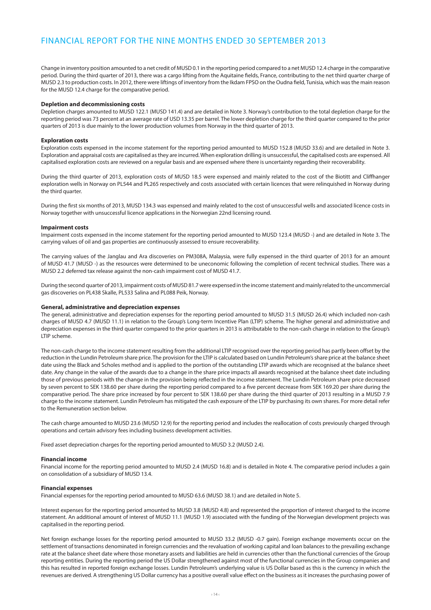### FINANCIAL REPORT FOR THE NINE MONTHS ENDED 30 SEPTEMBER 2013

Change in inventory position amounted to a net credit of MUSD 0.1 in the reporting period compared to a net MUSD 12.4 charge in the comparative period. During the third quarter of 2013, there was a cargo lifting from the Aquitaine fields, France, contributing to the net third quarter charge of MUSD 2.3 to production costs. In 2012, there were liftings of inventory from the Ikdam FPSO on the Oudna field, Tunisia, which was the main reason for the MUSD 12.4 charge for the comparative period.

#### **Depletion and decommissioning costs**

Depletion charges amounted to MUSD 122.1 (MUSD 141.4) and are detailed in Note 3. Norway's contribution to the total depletion charge for the reporting period was 73 percent at an average rate of USD 13.35 per barrel. The lower depletion charge for the third quarter compared to the prior quarters of 2013 is due mainly to the lower production volumes from Norway in the third quarter of 2013.

#### **Exploration costs**

Exploration costs expensed in the income statement for the reporting period amounted to MUSD 152.8 (MUSD 33.6) and are detailed in Note 3. Exploration and appraisal costs are capitalised as they are incurred. When exploration drilling is unsuccessful, the capitalised costs are expensed. All capitalised exploration costs are reviewed on a regular basis and are expensed where there is uncertainty regarding their recoverability.

During the third quarter of 2013, exploration costs of MUSD 18.5 were expensed and mainly related to the cost of the Biotitt and Cliffhanger exploration wells in Norway on PL544 and PL265 respectively and costs associated with certain licences that were relinquished in Norway during the third quarter.

During the first six months of 2013, MUSD 134.3 was expensed and mainly related to the cost of unsuccessful wells and associated licence costs in Norway together with unsuccessful licence applications in the Norwegian 22nd licensing round.

#### **Impairment costs**

Impairment costs expensed in the income statement for the reporting period amounted to MUSD 123.4 (MUSD -) and are detailed in Note 3. The carrying values of oil and gas properties are continuously assessed to ensure recoverability.

The carrying values of the Janglau and Ara discoveries on PM308A, Malaysia, were fully expensed in the third quarter of 2013 for an amount of MUSD 41.7 (MUSD -) as the resources were determined to be uneconomic following the completion of recent technical studies. There was a MUSD 2.2 deferred tax release against the non-cash impairment cost of MUSD 41.7.

During the second quarter of 2013, impairment costs of MUSD 81.7 were expensed in the income statement and mainly related to the uncommercial gas discoveries on PL438 Skalle, PL533 Salina and PL088 Peik, Norway.

#### **General, administrative and depreciation expenses**

The general, administrative and depreciation expenses for the reporting period amounted to MUSD 31.5 (MUSD 26.4) which included non-cash charges of MUSD 4.7 (MUSD 11.1) in relation to the Group's Long-term Incentive Plan (LTIP) scheme. The higher general and administrative and depreciation expenses in the third quarter compared to the prior quarters in 2013 is attributable to the non-cash charge in relation to the Group's LTIP scheme.

The non-cash charge to the income statement resulting from the additional LTIP recognised over the reporting period has partly been offset by the reduction in the Lundin Petroleum share price. The provision for the LTIP is calculated based on Lundin Petroleum's share price at the balance sheet date using the Black and Scholes method and is applied to the portion of the outstanding LTIP awards which are recognised at the balance sheet date. Any change in the value of the awards due to a change in the share price impacts all awards recognised at the balance sheet date including those of previous periods with the change in the provision being reflected in the income statement. The Lundin Petroleum share price decreased by seven percent to SEK 138.60 per share during the reporting period compared to a five percent decrease from SEK 169.20 per share during the comparative period. The share price increased by four percent to SEK 138.60 per share during the third quarter of 2013 resulting in a MUSD 7.9 charge to the income statement. Lundin Petroleum has mitigated the cash exposure of the LTIP by purchasing its own shares. For more detail refer to the Remuneration section below.

The cash charge amounted to MUSD 23.6 (MUSD 12.9) for the reporting period and includes the reallocation of costs previously charged through operations and certain advisory fees including business development activities.

Fixed asset depreciation charges for the reporting period amounted to MUSD 3.2 (MUSD 2.4).

#### **Financial income**

Financial income for the reporting period amounted to MUSD 2.4 (MUSD 16.8) and is detailed in Note 4. The comparative period includes a gain on consolidation of a subsidiary of MUSD 13.4.

#### **Financial expenses**

Financial expenses for the reporting period amounted to MUSD 63.6 (MUSD 38.1) and are detailed in Note 5.

Interest expenses for the reporting period amounted to MUSD 3.8 (MUSD 4.8) and represented the proportion of interest charged to the income statement. An additional amount of interest of MUSD 11.1 (MUSD 1.9) associated with the funding of the Norwegian development projects was capitalised in the reporting period.

Net foreign exchange losses for the reporting period amounted to MUSD 33.2 (MUSD -0.7 gain). Foreign exchange movements occur on the settlement of transactions denominated in foreign currencies and the revaluation of working capital and loan balances to the prevailing exchange rate at the balance sheet date where those monetary assets and liabilities are held in currencies other than the functional currencies of the Group reporting entities. During the reporting period the US Dollar strengthened against most of the functional currencies in the Group companies and this has resulted in reported foreign exchange losses. Lundin Petroleum's underlying value is US Dollar based as this is the currency in which the revenues are derived. A strengthening US Dollar currency has a positive overall value effect on the business as it increases the purchasing power of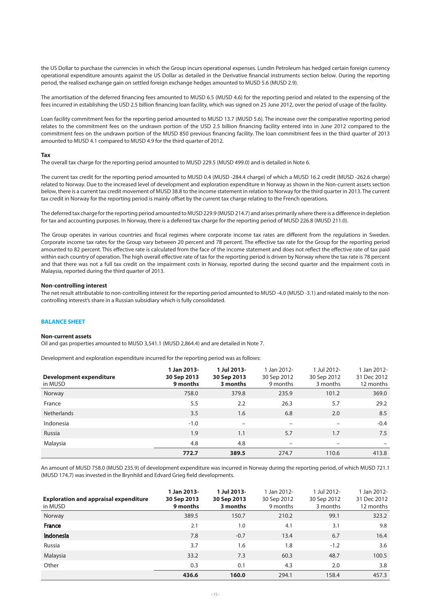the US Dollar to purchase the currencies in which the Group incurs operational expenses. Lundin Petroleum has hedged certain foreign currency operational expenditure amounts against the US Dollar as detailed in the Derivative financial instruments section below. During the reporting period, the realised exchange gain on settled foreign exchange hedges amounted to MUSD 5.6 (MUSD 2.9).

The amortisation of the deferred financing fees amounted to MUSD 6.5 (MUSD 4.6) for the reporting period and related to the expensing of the fees incurred in establishing the USD 2.5 billion financing loan facility, which was signed on 25 June 2012, over the period of usage of the facility.

Loan facility commitment fees for the reporting period amounted to MUSD 13.7 (MUSD 5.6). The increase over the comparative reporting period relates to the commitment fees on the undrawn portion of the USD 2.5 billion financing facility entered into in June 2012 compared to the commitment fees on the undrawn portion of the MUSD 850 previous financing facility. The loan commitment fees in the third quarter of 2013 amounted to MUSD 4.1 compared to MUSD 4.9 for the third quarter of 2012.

#### **Tax**

The overall tax charge for the reporting period amounted to MUSD 229.5 (MUSD 499.0) and is detailed in Note 6.

The current tax credit for the reporting period amounted to MUSD 0.4 (MUSD -284.4 charge) of which a MUSD 16.2 credit (MUSD -262.6 charge) related to Norway. Due to the increased level of development and exploration expenditure in Norway as shown in the Non-current assets section below, there is a current tax credit movement of MUSD 38.8 to the income statement in relation to Norway for the third quarter in 2013. The current tax credit in Norway for the reporting period is mainly offset by the current tax charge relating to the French operations.

The deferred tax charge for the reporting period amounted to MUSD 229.9 (MUSD 214.7) and arises primarily where there is a difference in depletion for tax and accounting purposes. In Norway, there is a deferred tax charge for the reporting period of MUSD 226.8 (MUSD 211.0).

The Group operates in various countries and fiscal regimes where corporate income tax rates are different from the regulations in Sweden. Corporate income tax rates for the Group vary between 20 percent and 78 percent. The effective tax rate for the Group for the reporting period amounted to 82 percent. This effective rate is calculated from the face of the income statement and does not reflect the effective rate of tax paid within each country of operation. The high overall effective rate of tax for the reporting period is driven by Norway where the tax rate is 78 percent and that there was not a full tax credit on the impairment costs in Norway, reported during the second quarter and the impairment costs in Malaysia, reported during the third quarter of 2013.

#### **Non-controlling interest**

The net result attributable to non-controlling interest for the reporting period amounted to MUSD -4.0 (MUSD -3.1) and related mainly to the noncontrolling interest's share in a Russian subsidiary which is fully consolidated.

#### **BALANCE SHEET**

#### **Non-current assets**

Oil and gas properties amounted to MUSD 3,541.1 (MUSD 2,864.4) and are detailed in Note 7.

Development and exploration expenditure incurred for the reporting period was as follows:

| <b>Development expenditure</b><br>in MUSD | 1 Jan 2013-<br>30 Sep 2013<br>9 months | 1 Jul 2013-<br>30 Sep 2013<br>3 months | 1 Jan 2012-<br>30 Sep 2012<br>9 months | 1 Jul 2012-<br>30 Sep 2012<br>3 months | 1 Jan 2012-<br>31 Dec 2012<br>12 months |
|-------------------------------------------|----------------------------------------|----------------------------------------|----------------------------------------|----------------------------------------|-----------------------------------------|
| Norway                                    | 758.0                                  | 379.8                                  | 235.9                                  | 101.2                                  | 369.0                                   |
| France                                    | 5.5                                    | 2.2                                    | 26.3                                   | 5.7                                    | 29.2                                    |
| <b>Netherlands</b>                        | 3.5                                    | 1.6                                    | 6.8                                    | 2.0                                    | 8.5                                     |
| Indonesia                                 | $-1.0$                                 | -                                      |                                        |                                        | $-0.4$                                  |
| Russia                                    | 1.9                                    | 1.1                                    | 5.7                                    | 1.7                                    | 7.5                                     |
| Malaysia                                  | 4.8                                    | 4.8                                    |                                        |                                        |                                         |
|                                           | 772.7                                  | 389.5                                  | 274.7                                  | 110.6                                  | 413.8                                   |

An amount of MUSD 758.0 (MUSD 235.9) of development expenditure was incurred in Norway during the reporting period, of which MUSD 721.1 (MUSD 174.7) was invested in the Brynhild and Edvard Grieg field developments.

| <b>Exploration and appraisal expenditure</b><br>in MUSD | 1 Jan 2013-<br>30 Sep 2013<br>9 months | 1 Jul 2013-<br>30 Sep 2013<br>3 months | 1 Jan 2012-<br>30 Sep 2012<br>9 months | 1 Jul 2012-<br>30 Sep 2012<br>3 months | 1 Jan 2012-<br>31 Dec 2012<br>12 months |
|---------------------------------------------------------|----------------------------------------|----------------------------------------|----------------------------------------|----------------------------------------|-----------------------------------------|
| Norway                                                  | 389.5                                  | 150.7                                  | 210.2                                  | 99.1                                   | 323.2                                   |
| <b>France</b>                                           | 2.1                                    | 1.0                                    | 4.1                                    | 3.1                                    | 9.8                                     |
| Indonesia                                               | 7.8                                    | $-0.7$                                 | 13.4                                   | 6.7                                    | 16.4                                    |
| Russia                                                  | 3.7                                    | 1.6                                    | 1.8                                    | $-1.2$                                 | 3.6                                     |
| Malaysia                                                | 33.2                                   | 7.3                                    | 60.3                                   | 48.7                                   | 100.5                                   |
| Other                                                   | 0.3                                    | 0.1                                    | 4.3                                    | 2.0                                    | 3.8                                     |
|                                                         | 436.6                                  | 160.0                                  | 294.1                                  | 158.4                                  | 457.3                                   |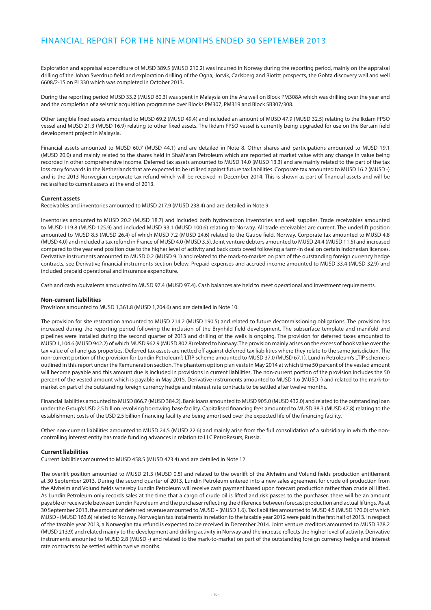### FINANCIAL REPORT FOR THE NINE MONTHS ENDED 30 SEPTEMBER 2013

Exploration and appraisal expenditure of MUSD 389.5 (MUSD 210.2) was incurred in Norway during the reporting period, mainly on the appraisal drilling of the Johan Sverdrup field and exploration drilling of the Ogna, Jorvik, Carlsberg and Biotitt prospects, the Gohta discovery well and well 6608/2-1S on PL330 which was completed in October 2013.

During the reporting period MUSD 33.2 (MUSD 60.3) was spent in Malaysia on the Ara well on Block PM308A which was drilling over the year end and the completion of a seismic acquisition programme over Blocks PM307, PM319 and Block SB307/308.

Other tangible fixed assets amounted to MUSD 69.2 (MUSD 49.4) and included an amount of MUSD 47.9 (MUSD 32.5) relating to the Ikdam FPSO vessel and MUSD 21.3 (MUSD 16.9) relating to other fixed assets. The Ikdam FPSO vessel is currently being upgraded for use on the Bertam field development project in Malaysia.

Financial assets amounted to MUSD 60.7 (MUSD 44.1) and are detailed in Note 8. Other shares and participations amounted to MUSD 19.1 (MUSD 20.0) and mainly related to the shares held in ShaMaran Petroleum which are reported at market value with any change in value being recorded in other comprehensive income. Deferred tax assets amounted to MUSD 14.0 (MUSD 13.3) and are mainly related to the part of the tax loss carry forwards in the Netherlands that are expected to be utilised against future tax liabilities. Corporate tax amounted to MUSD 16.2 (MUSD -) and is the 2013 Norwegian corporate tax refund which will be received in December 2014. This is shown as part of financial assets and will be reclassified to current assets at the end of 2013.

#### **Current assets**

Receivables and inventories amounted to MUSD 217.9 (MUSD 238.4) and are detailed in Note 9.

Inventories amounted to MUSD 20.2 (MUSD 18.7) and included both hydrocarbon inventories and well supplies. Trade receivables amounted to MUSD 119.8 (MUSD 125.9) and included MUSD 93.1 (MUSD 100.6) relating to Norway. All trade receivables are current. The underlift position amounted to MUSD 8.5 (MUSD 26.4) of which MUSD 7.2 (MUSD 24.6) related to the Gaupe field, Norway. Corporate tax amounted to MUSD 4.8 (MUSD 4.0) and included a tax refund in France of MUSD 4.0 (MUSD 3.5). Joint venture debtors amounted to MUSD 24.4 (MUSD 11.5) and increased compared to the year end position due to the higher level of activity and back costs owed following a farm-in deal on certain Indonesian licences. Derivative instruments amounted to MUSD 0.2 (MUSD 9.1) and related to the mark-to-market on part of the outstanding foreign currency hedge contracts, see Derivative financial instruments section below. Prepaid expenses and accrued income amounted to MUSD 33.4 (MUSD 32.9) and included prepaid operational and insurance expenditure.

Cash and cash equivalents amounted to MUSD 97.4 (MUSD 97.4). Cash balances are held to meet operational and investment requirements.

#### **Non-current liabilities**

Provisions amounted to MUSD 1,361.8 (MUSD 1,204.6) and are detailed in Note 10.

The provision for site restoration amounted to MUSD 214.2 (MUSD 190.5) and related to future decommissioning obligations. The provision has increased during the reporting period following the inclusion of the Brynhild field development. The subsurface template and manifold and pipelines were installed during the second quarter of 2013 and drilling of the wells is ongoing. The provision for deferred taxes amounted to MUSD 1,104.6 (MUSD 942.2) of which MUSD 962.9 (MUSD 802.8) related to Norway. The provision mainly arises on the excess of book value over the tax value of oil and gas properties. Deferred tax assets are netted off against deferred tax liabilities where they relate to the same jurisdiction. The non-current portion of the provision for Lundin Petroleum's LTIP scheme amounted to MUSD 37.0 (MUSD 67.1). Lundin Petroleum's LTIP scheme is outlined in this report under the Remuneration section. The phantom option plan vests in May 2014 at which time 50 percent of the vested amount will become payable and this amount due is included in provisions in current liabilities. The non-current portion of the provision includes the 50 percent of the vested amount which is payable in May 2015. Derivative instruments amounted to MUSD 1.6 (MUSD -) and related to the mark-tomarket on part of the outstanding foreign currency hedge and interest rate contracts to be settled after twelve months.

Financial liabilities amounted to MUSD 866.7 (MUSD 384.2). Bank loans amounted to MUSD 905.0 (MUSD 432.0) and related to the outstanding loan under the Group's USD 2.5 billion revolving borrowing base facility. Capitalised financing fees amounted to MUSD 38.3 (MUSD 47.8) relating to the establishment costs of the USD 2.5 billion financing facility are being amortised over the expected life of the financing facility.

Other non-current liabilities amounted to MUSD 24.5 (MUSD 22.6) and mainly arise from the full consolidation of a subsidiary in which the noncontrolling interest entity has made funding advances in relation to LLC PetroResurs, Russia.

#### **Current liabilities**

Current liabilities amounted to MUSD 458.5 (MUSD 423.4) and are detailed in Note 12.

The overlift position amounted to MUSD 21.3 (MUSD 0.5) and related to the overlift of the Alvheim and Volund fields production entitlement at 30 September 2013. During the second quarter of 2013, Lundin Petroleum entered into a new sales agreement for crude oil production from the Alvheim and Volund fields whereby Lundin Petroleum will receive cash payment based upon forecast production rather than crude oil lifted. As Lundin Petroleum only records sales at the time that a cargo of crude oil is lifted and risk passes to the purchaser, there will be an amount payable or receivable between Lundin Petroleum and the purchaser reflecting the difference between forecast production and actual liftings. As at 30 September 2013, the amount of deferred revenue amounted to MUSD – (MUSD 1.6). Tax liabilities amounted to MUSD 4.5 (MUSD 170.0) of which MUSD - (MUSD 163.6) related to Norway. Norwegian tax instalments in relation to the taxable year 2012 were paid in the first half of 2013. In respect of the taxable year 2013, a Norwegian tax refund is expected to be received in December 2014. Joint venture creditors amounted to MUSD 378.2 (MUSD 213.9) and related mainly to the development and drilling activity in Norway and the increase reflects the higher level of activity. Derivative instruments amounted to MUSD 2.8 (MUSD -) and related to the mark-to-market on part of the outstanding foreign currency hedge and interest rate contracts to be settled within twelve months.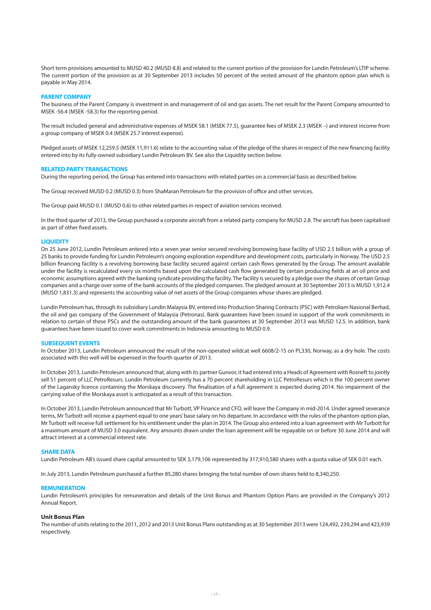Short term provisions amounted to MUSD 40.2 (MUSD 8.8) and related to the current portion of the provision for Lundin Petroleum's LTIP scheme. The current portion of the provision as at 30 September 2013 includes 50 percent of the vested amount of the phantom option plan which is payable in May 2014.

#### **PARENT COMPANY**

The business of the Parent Company is investment in and management of oil and gas assets. The net result for the Parent Company amounted to MSEK -56.4 (MSEK -58.3) for the reporting period.

The result included general and administrative expenses of MSEK 58.1 (MSEK 77.5), guarantee fees of MSEK 2.3 (MSEK –) and interest income from a group company of MSEK 0.4 (MSEK 25.7 interest expense).

Pledged assets of MSEK 12,259.5 (MSEK 11,911.6) relate to the accounting value of the pledge of the shares in respect of the new financing facility entered into by its fully-owned subsidiary Lundin Petroleum BV. See also the Liquidity section below.

#### **RELATED PARTY TRANSACTIONS**

During the reporting period, the Group has entered into transactions with related parties on a commercial basis as described below.

The Group received MUSD 0.2 (MUSD 0.3) from ShaMaran Petroleum for the provision of office and other services.

The Group paid MUSD 0.1 (MUSD 0.6) to other related parties in respect of aviation services received.

In the third quarter of 2013, the Group purchased a corporate aircraft from a related party company for MUSD 2.8. The aircraft has been capitalised as part of other fixed assets.

#### **LIQUIDITY**

On 25 June 2012, Lundin Petroleum entered into a seven year senior secured revolving borrowing base facility of USD 2.5 billion with a group of 25 banks to provide funding for Lundin Petroleum's ongoing exploration expenditure and development costs, particularly in Norway. The USD 2.5 billion financing facility is a revolving borrowing base facility secured against certain cash flows generated by the Group. The amount available under the facility is recalculated every six months based upon the calculated cash flow generated by certain producing fields at an oil price and economic assumptions agreed with the banking syndicate providing the facility. The facility is secured by a pledge over the shares of certain Group companies and a charge over some of the bank accounts of the pledged companies. The pledged amount at 30 September 2013 is MUSD 1,912.4 (MUSD 1,831.3) and represents the accounting value of net assets of the Group companies whose shares are pledged.

Lundin Petroleum has, through its subsidiary Lundin Malaysia BV, entered into Production Sharing Contracts (PSC) with Petroliam Nasional Berhad, the oil and gas company of the Government of Malaysia (Petronas). Bank guarantees have been issued in support of the work commitments in relation to certain of these PSCs and the outstanding amount of the bank guarantees at 30 September 2013 was MUSD 12.5. In addition, bank guarantees have been issued to cover work commitments in Indonesia amounting to MUSD 0.9.

#### **SUBSEQUENT EVENTS**

In October 2013, Lundin Petroleum announced the result of the non-operated wildcat well 6608/2-1S on PL330, Norway, as a dry hole. The costs associated with this well will be expensed in the fourth quarter of 2013.

In October 2013, Lundin Petroleum announced that, along with its partner Gunvor, it had entered into a Heads of Agreement with Rosneft to jointly sell 51 percent of LLC PetroResurs. Lundin Petroleum currently has a 70 percent shareholding in LLC PetroResurs which is the 100 percent owner of the Lagansky licence containing the Morskaya discovery. The finalisation of a full agreement is expected during 2014. No impairment of the carrying value of the Morskaya asset is anticipated as a result of this transaction.

In October 2013, Lundin Petroleum announced that Mr Turbott, VP Finance and CFO, will leave the Company in mid-2014. Under agreed severance terms, Mr Turbott will receive a payment equal to one years' base salary on his departure. In accordance with the rules of the phantom option plan, Mr Turbott will receive full settlement for his entitlement under the plan in 2014. The Group also entered into a loan agreement with Mr Turbott for a maximum amount of MUSD 3.0 equivalent. Any amounts drawn under the loan agreement will be repayable on or before 30 June 2014 and will attract interest at a commercial interest rate.

#### **SHARE DATA**

Lundin Petroleum AB's issued share capital amounted to SEK 3,179,106 represented by 317,910,580 shares with a quota value of SEK 0.01 each.

In July 2013, Lundin Petroleum purchased a further 85,280 shares bringing the total number of own shares held to 8,340,250.

#### **REMUNERATION**

Lundin Petroleum's principles for remuneration and details of the Unit Bonus and Phantom Option Plans are provided in the Company's 2012 Annual Report.

#### **Unit Bonus Plan**

The number of units relating to the 2011, 2012 and 2013 Unit Bonus Plans outstanding as at 30 September 2013 were 124,492, 239,294 and 423,939 respectively.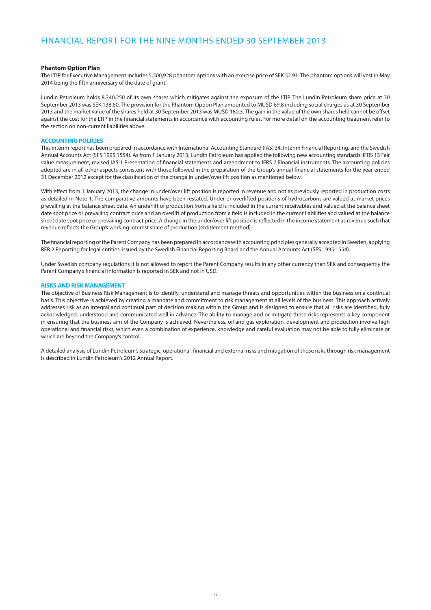#### **Phantom Option Plan**

The LTIP for Executive Management includes 5,500,928 phantom options with an exercise price of SEK 52.91. The phantom options will vest in May 2014 being the fifth anniversary of the date of grant.

Lundin Petroleum holds 8,340,250 of its own shares which mitigates against the exposure of the LTIP. The Lundin Petroleum share price at 30 September 2013 was SEK 138.60. The provision for the Phantom Option Plan amounted to MUSD 69.8 including social charges as at 30 September 2013 and the market value of the shares held at 30 September 2013 was MUSD 180.3. The gain in the value of the own shares held cannot be offset against the cost for the LTIP in the financial statements in accordance with accounting rules. For more detail on the accounting treatment refer to the section on non-current liabilities above.

#### **ACCOUNTING POLICIES**

This interim report has been prepared in accordance with International Accounting Standard (IAS) 34, Interim Financial Reporting, and the Swedish Annual Accounts Act (SFS 1995:1554). As from 1 January 2013, Lundin Petroleum has applied the following new accounting standards: IFRS 13 Fair value measurement, revised IAS 1 Presentation of financial statements and amendment to IFRS 7 Financial instruments. The accounting policies adopted are in all other aspects consistent with those followed in the preparation of the Group's annual financial statements for the year ended 31 December 2012 except for the classification of the change in under/over lift position as mentioned below.

With effect from 1 January 2013, the change in under/over lift position is reported in revenue and not as previously reported in production costs as detailed in Note 1. The comparative amounts have been restated. Under or overlifted positions of hydrocarbons are valued at market prices prevailing at the balance sheet date. An underlift of production from a field is included in the current receivables and valued at the balance sheet date spot price or prevailing contract price and an overlift of production from a field is included in the current liabilities and valued at the balance sheet date spot price or prevailing contract price. A change in the under/over lift position is reflected in the income statement as revenue such that revenue reflects the Group's working interest share of production (entitlement method).

The financial reporting of the Parent Company has been prepared in accordance with accounting principles generally accepted in Sweden, applying RFR 2 Reporting for legal entities, issued by the Swedish Financial Reporting Board and the Annual Accounts Act (SFS 1995:1554).

Under Swedish company regulations it is not allowed to report the Parent Company results in any other currency than SEK and consequently the Parent Company's financial information is reported in SEK and not in USD.

#### **RISKS AND RISK MANAGEMENT**

The objective of Business Risk Management is to identify, understand and manage threats and opportunities within the business on a continual basis. This objective is achieved by creating a mandate and commitment to risk management at all levels of the business. This approach actively addresses risk as an integral and continual part of decision making within the Group and is designed to ensure that all risks are identified, fully acknowledged, understood and communicated well in advance. The ability to manage and or mitigate these risks represents a key component in ensuring that the business aim of the Company is achieved. Nevertheless, oil and gas exploration, development and production involve high operational and financial risks, which even a combination of experience, knowledge and careful evaluation may not be able to fully eliminate or which are beyond the Company's control.

A detailed analysis of Lundin Petroleum's strategic, operational, financial and external risks and mitigation of those risks through risk management is described in Lundin Petroleum's 2012 Annual Report.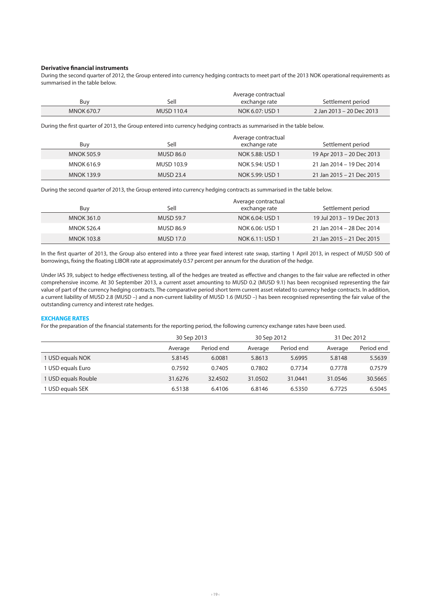#### **Derivative financial instruments**

During the second quarter of 2012, the Group entered into currency hedging contracts to meet part of the 2013 NOK operational requirements as summarised in the table below.

|                   |                   | Average contractual |                          |
|-------------------|-------------------|---------------------|--------------------------|
| Buv               | Sell              | exchange rate       | Settlement period        |
| <b>MNOK 670.7</b> | <b>MUSD 110.4</b> | NOK 6.07: USD 1     | 2 Jan 2013 - 20 Dec 2013 |

During the first quarter of 2013, the Group entered into currency hedging contracts as summarised in the table below.

|                   |                  | Average contractual |                           |
|-------------------|------------------|---------------------|---------------------------|
| Buv               | Sell             | exchange rate       | Settlement period         |
| <b>MNOK 505.9</b> | MUSD 86.0        | NOK 5.88: USD 1     | 19 Apr 2013 - 20 Dec 2013 |
| MNOK 616.9        | MUSD 103.9       | NOK 5.94: USD 1     | 21 Jan 2014 - 19 Dec 2014 |
| <b>MNOK 139.9</b> | <b>MUSD 23.4</b> | NOK 5.99: USD 1     | 21 Jan 2015 - 21 Dec 2015 |

During the second quarter of 2013, the Group entered into currency hedging contracts as summarised in the table below.

|                   |                  | Average contractual |                           |
|-------------------|------------------|---------------------|---------------------------|
| Buv               | Sell             | exchange rate       | Settlement period         |
| MNOK 361.0        | <b>MUSD 59.7</b> | NOK 6.04: USD 1     | 19 Jul 2013 - 19 Dec 2013 |
| MNOK 526.4        | MUSD 86.9        | NOK 6.06: USD 1     | 21 Jan 2014 - 28 Dec 2014 |
| <b>MNOK 103.8</b> | MUSD 17.0        | NOK 6.11: USD 1     | 21 Jan 2015 - 21 Dec 2015 |

In the first quarter of 2013, the Group also entered into a three year fixed interest rate swap, starting 1 April 2013, in respect of MUSD 500 of borrowings, fixing the floating LIBOR rate at approximately 0.57 percent per annum for the duration of the hedge.

Under IAS 39, subject to hedge effectiveness testing, all of the hedges are treated as effective and changes to the fair value are reflected in other comprehensive income. At 30 September 2013, a current asset amounting to MUSD 0.2 (MUSD 9.1) has been recognised representing the fair value of part of the currency hedging contracts. The comparative period short term current asset related to currency hedge contracts. In addition, a current liability of MUSD 2.8 (MUSD –) and a non-current liability of MUSD 1.6 (MUSD –) has been recognised representing the fair value of the outstanding currency and interest rate hedges.

#### **EXCHANGE RATES**

For the preparation of the financial statements for the reporting period, the following currency exchange rates have been used.

|                     |         | 30 Sep 2013 |         | 30 Sep 2012 |         | 31 Dec 2012 |  |
|---------------------|---------|-------------|---------|-------------|---------|-------------|--|
|                     | Average | Period end  | Average | Period end  | Average | Period end  |  |
| 1 USD equals NOK    | 5.8145  | 6.0081      | 5.8613  | 5.6995      | 5.8148  | 5.5639      |  |
| 1 USD equals Euro   | 0.7592  | 0.7405      | 0.7802  | 0.7734      | 0.7778  | 0.7579      |  |
| 1 USD equals Rouble | 31.6276 | 32,4502     | 31.0502 | 31,0441     | 31.0546 | 30.5665     |  |
| 1 USD equals SEK    | 6.5138  | 6.4106      | 6.8146  | 6.5350      | 6.7725  | 6.5045      |  |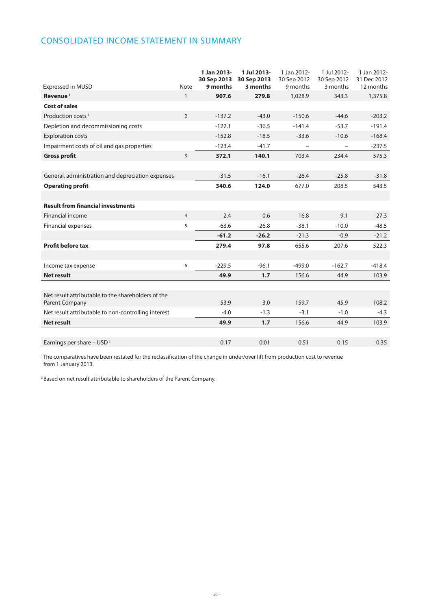## CONSOLIDATED INCOME STATEMENT IN SUMMARY

|                                                                             |                | 1 Jan 2013-<br>30 Sep 2013 | 1 Jul 2013-<br>30 Sep 2013 | 1 Jan 2012-<br>30 Sep 2012 | 1 Jul 2012-<br>30 Sep 2012 | 1 Jan 2012-<br>31 Dec 2012 |
|-----------------------------------------------------------------------------|----------------|----------------------------|----------------------------|----------------------------|----------------------------|----------------------------|
| <b>Expressed in MUSD</b>                                                    | Note           | 9 months                   | 3 months                   | 9 months                   | 3 months                   | 12 months                  |
| Revenue <sup>1</sup>                                                        | $\mathbf{1}$   | 907.6                      | 279.8                      | 1.028.9                    | 343.3                      | 1,375.8                    |
| <b>Cost of sales</b>                                                        |                |                            |                            |                            |                            |                            |
| Production costs <sup>1</sup>                                               | $\overline{2}$ | $-137.2$                   | $-43.0$                    | $-150.6$                   | $-44.6$                    | $-203.2$                   |
| Depletion and decommissioning costs                                         |                | $-122.1$                   | $-36.5$                    | $-141.4$                   | $-53.7$                    | $-191.4$                   |
| <b>Exploration costs</b>                                                    |                | $-152.8$                   | $-18.5$                    | $-33.6$                    | $-10.6$                    | $-168.4$                   |
| Impairment costs of oil and gas properties                                  |                | $-123.4$                   | $-41.7$                    |                            | $\qquad \qquad -$          | $-237.5$                   |
| <b>Gross profit</b>                                                         | $\overline{3}$ | 372.1                      | 140.1                      | 703.4                      | 234.4                      | 575.3                      |
|                                                                             |                |                            |                            |                            |                            |                            |
| General, administration and depreciation expenses                           |                | $-31.5$                    | $-16.1$                    | $-26.4$                    | $-25.8$                    | $-31.8$                    |
| <b>Operating profit</b>                                                     |                | 340.6                      | 124.0                      | 677.0                      | 208.5                      | 543.5                      |
|                                                                             |                |                            |                            |                            |                            |                            |
| <b>Result from financial investments</b>                                    |                |                            |                            |                            |                            |                            |
| Financial income                                                            | $\overline{4}$ | 2.4                        | 0.6                        | 16.8                       | 9.1                        | 27.3                       |
| Financial expenses                                                          | 5              | $-63.6$                    | $-26.8$                    | $-38.1$                    | $-10.0$                    | $-48.5$                    |
|                                                                             |                | $-61.2$                    | $-26.2$                    | $-21.3$                    | $-0.9$                     | $-21.2$                    |
| <b>Profit before tax</b>                                                    |                | 279.4                      | 97.8                       | 655.6                      | 207.6                      | 522.3                      |
|                                                                             |                |                            |                            |                            |                            |                            |
| Income tax expense                                                          | 6              | $-229.5$                   | $-96.1$                    | $-499.0$                   | $-162.7$                   | $-418.4$                   |
| <b>Net result</b>                                                           |                | 49.9                       | 1.7                        | 156.6                      | 44.9                       | 103.9                      |
|                                                                             |                |                            |                            |                            |                            |                            |
| Net result attributable to the shareholders of the<br><b>Parent Company</b> |                | 53.9                       | 3.0                        | 159.7                      | 45.9                       | 108.2                      |
| Net result attributable to non-controlling interest                         |                | $-4.0$                     | $-1.3$                     | $-3.1$                     | $-1.0$                     | $-4.3$                     |
| <b>Net result</b>                                                           |                | 49.9                       | 1.7                        | 156.6                      | 44.9                       | 103.9                      |
|                                                                             |                |                            |                            |                            |                            |                            |
| Earnings per share $-$ USD <sup>2</sup>                                     |                | 0.17                       | 0.01                       | 0.51                       | 0.15                       | 0.35                       |

<sup>1</sup>The comparatives have been restated for the reclassification of the change in under/over lift from production cost to revenue from 1 January 2013.

2 Based on net result attributable to shareholders of the Parent Company.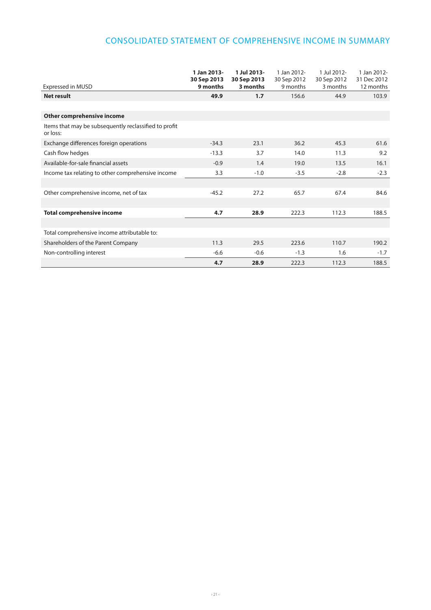## CONSOLIDATED STATEMENT OF COMPREHENSIVE INCOME IN SUMMARY

| Expressed in MUSD                                                 | 1 Jan 2013-<br>30 Sep 2013<br>9 months | 1 Jul 2013-<br>30 Sep 2013<br>3 months | 1 Jan 2012-<br>30 Sep 2012<br>9 months | 1 Jul 2012-<br>30 Sep 2012<br>3 months | 1 Jan 2012-<br>31 Dec 2012<br>12 months |
|-------------------------------------------------------------------|----------------------------------------|----------------------------------------|----------------------------------------|----------------------------------------|-----------------------------------------|
|                                                                   |                                        |                                        |                                        |                                        |                                         |
| <b>Net result</b>                                                 | 49.9                                   | 1.7                                    | 156.6                                  | 44.9                                   | 103.9                                   |
|                                                                   |                                        |                                        |                                        |                                        |                                         |
| Other comprehensive income                                        |                                        |                                        |                                        |                                        |                                         |
| Items that may be subsequently reclassified to profit<br>or loss: |                                        |                                        |                                        |                                        |                                         |
| Exchange differences foreign operations                           | $-34.3$                                | 23.1                                   | 36.2                                   | 45.3                                   | 61.6                                    |
| Cash flow hedges                                                  | $-13.3$                                | 3.7                                    | 14.0                                   | 11.3                                   | 9.2                                     |
| Available-for-sale financial assets                               | $-0.9$                                 | 1.4                                    | 19.0                                   | 13.5                                   | 16.1                                    |
| Income tax relating to other comprehensive income                 | 3.3                                    | $-1.0$                                 | $-3.5$                                 | $-2.8$                                 | $-2.3$                                  |
|                                                                   |                                        |                                        |                                        |                                        |                                         |
| Other comprehensive income, net of tax                            | $-45.2$                                | 27.2                                   | 65.7                                   | 67.4                                   | 84.6                                    |
|                                                                   |                                        |                                        |                                        |                                        |                                         |
| <b>Total comprehensive income</b>                                 | 4.7                                    | 28.9                                   | 222.3                                  | 112.3                                  | 188.5                                   |
|                                                                   |                                        |                                        |                                        |                                        |                                         |
| Total comprehensive income attributable to:                       |                                        |                                        |                                        |                                        |                                         |
| Shareholders of the Parent Company                                | 11.3                                   | 29.5                                   | 223.6                                  | 110.7                                  | 190.2                                   |
| Non-controlling interest                                          | $-6.6$                                 | $-0.6$                                 | $-1.3$                                 | 1.6                                    | $-1.7$                                  |
|                                                                   | 4.7                                    | 28.9                                   | 222.3                                  | 112.3                                  | 188.5                                   |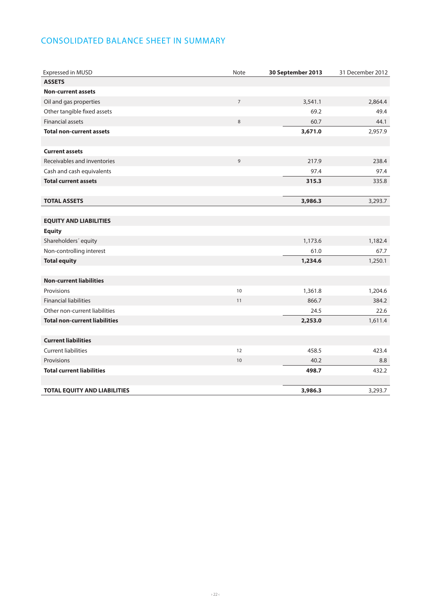## CONSOLIDATED BALANCE SHEET IN SUMMARY

| Expressed in MUSD                    | Note             | 30 September 2013 | 31 December 2012 |
|--------------------------------------|------------------|-------------------|------------------|
| <b>ASSETS</b>                        |                  |                   |                  |
| <b>Non-current assets</b>            |                  |                   |                  |
| Oil and gas properties               | $\boldsymbol{7}$ | 3,541.1           | 2,864.4          |
| Other tangible fixed assets          |                  | 69.2              | 49.4             |
| <b>Financial assets</b>              | $\,8\,$          | 60.7              | 44.1             |
| <b>Total non-current assets</b>      |                  | 3,671.0           | 2,957.9          |
|                                      |                  |                   |                  |
| <b>Current assets</b>                |                  |                   |                  |
| Receivables and inventories          | $\overline{9}$   | 217.9             | 238.4            |
| Cash and cash equivalents            |                  | 97.4              | 97.4             |
| <b>Total current assets</b>          |                  | 315.3             | 335.8            |
|                                      |                  |                   |                  |
| <b>TOTAL ASSETS</b>                  |                  | 3,986.3           | 3,293.7          |
|                                      |                  |                   |                  |
| <b>EQUITY AND LIABILITIES</b>        |                  |                   |                  |
| <b>Equity</b>                        |                  |                   |                  |
| Shareholders' equity                 |                  | 1,173.6           | 1,182.4          |
| Non-controlling interest             |                  | 61.0              | 67.7             |
| <b>Total equity</b>                  |                  | 1,234.6           | 1,250.1          |
|                                      |                  |                   |                  |
| <b>Non-current liabilities</b>       |                  |                   |                  |
| Provisions                           | 10               | 1,361.8           | 1,204.6          |
| <b>Financial liabilities</b>         | 11               | 866.7             | 384.2            |
| Other non-current liabilities        |                  | 24.5              | 22.6             |
| <b>Total non-current liabilities</b> |                  | 2,253.0           | 1,611.4          |
|                                      |                  |                   |                  |
| <b>Current liabilities</b>           |                  |                   |                  |
| <b>Current liabilities</b>           | 12               | 458.5             | 423.4            |
| Provisions                           | 10               | 40.2              | 8.8              |
| <b>Total current liabilities</b>     |                  | 498.7             | 432.2            |
|                                      |                  |                   |                  |
| <b>TOTAL EQUITY AND LIABILITIES</b>  |                  | 3,986.3           | 3,293.7          |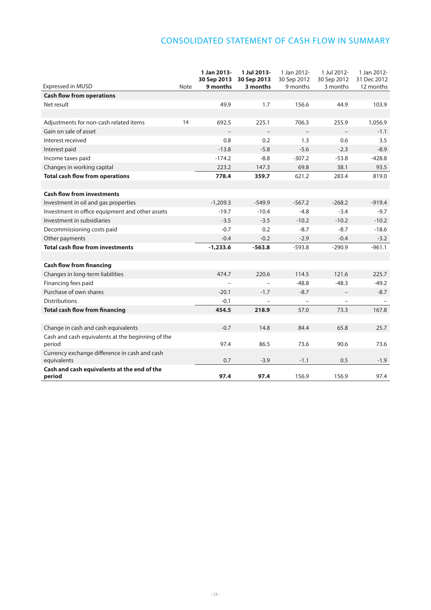## CONSOLIDATED STATEMENT OF CASH FLOW IN SUMMARY

|                                                       |      | 1 Jan 2013-<br>30 Sep 2013 | 1 Jul 2013-<br>30 Sep 2013 | 1 Jan 2012-<br>30 Sep 2012 | 1 Jul 2012-<br>30 Sep 2012 | 1 Jan 2012-<br>31 Dec 2012 |
|-------------------------------------------------------|------|----------------------------|----------------------------|----------------------------|----------------------------|----------------------------|
| <b>Expressed in MUSD</b>                              | Note | 9 months                   | 3 months                   | 9 months                   | 3 months                   | 12 months                  |
| <b>Cash flow from operations</b>                      |      |                            |                            |                            |                            |                            |
| Net result                                            |      | 49.9                       | 1.7                        | 156.6                      | 44.9                       | 103.9                      |
|                                                       |      |                            |                            |                            |                            |                            |
| Adjustments for non-cash related items                | 14   | 692.5                      | 225.1                      | 706.3                      | 255.9                      | 1,056.9                    |
| Gain on sale of asset                                 |      |                            |                            |                            |                            | $-1.1$                     |
| Interest received                                     |      | 0.8                        | 0.2                        | 1.3                        | 0.6                        | 3.5                        |
| Interest paid                                         |      | $-13.8$                    | $-5.8$                     | $-5.6$                     | $-2.3$                     | $-8.9$                     |
| Income taxes paid                                     |      | $-174.2$                   | $-8.8$                     | $-307.2$                   | $-53.8$                    | $-428.8$                   |
| Changes in working capital                            |      | 223.2                      | 147.3                      | 69.8                       | 38.1                       | 93.5                       |
| <b>Total cash flow from operations</b>                |      | 778.4                      | 359.7                      | 621.2                      | 283.4                      | 819.0                      |
|                                                       |      |                            |                            |                            |                            |                            |
| <b>Cash flow from investments</b>                     |      |                            |                            |                            |                            |                            |
| Investment in oil and gas properties                  |      | $-1,209.3$                 | $-549.9$                   | $-567.2$                   | $-268.2$                   | $-919.4$                   |
| Investment in office equipment and other assets       |      | $-19.7$                    | $-10.4$                    | $-4.8$                     | $-3.4$                     | $-9.7$                     |
| Investment in subsidiaries                            |      | $-3.5$                     | $-3.5$                     | $-10.2$                    | $-10.2$                    | $-10.2$                    |
| Decommissioning costs paid                            |      | $-0.7$                     | 0.2                        | $-8.7$                     | $-8.7$                     | $-18.6$                    |
| Other payments                                        |      | $-0.4$                     | $-0.2$                     | $-2.9$                     | $-0.4$                     | $-3.2$                     |
| <b>Total cash flow from investments</b>               |      | $-1,233.6$                 | $-563.8$                   | $-593.8$                   | $-290.9$                   | $-961.1$                   |
|                                                       |      |                            |                            |                            |                            |                            |
| <b>Cash flow from financing</b>                       |      |                            |                            |                            |                            |                            |
| Changes in long-term liabilities                      |      | 474.7                      | 220.6                      | 114.5                      | 121.6                      | 225.7                      |
| Financing fees paid                                   |      |                            |                            | $-48.8$                    | $-48.3$                    | $-49.2$                    |
| Purchase of own shares                                |      | $-20.1$                    | $-1.7$                     | $-8.7$                     |                            | $-8.7$                     |
| <b>Distributions</b>                                  |      | $-0.1$                     |                            |                            |                            |                            |
| <b>Total cash flow from financing</b>                 |      | 454.5                      | 218.9                      | 57.0                       | 73.3                       | 167.8                      |
|                                                       |      |                            |                            |                            |                            |                            |
| Change in cash and cash equivalents                   |      | $-0.7$                     | 14.8                       | 84.4                       | 65.8                       | 25.7                       |
| Cash and cash equivalents at the beginning of the     |      |                            |                            |                            |                            |                            |
| period                                                |      | 97.4                       | 86.5                       | 73.6                       | 90.6                       | 73.6                       |
| Currency exchange difference in cash and cash         |      |                            |                            |                            |                            |                            |
| equivalents                                           |      | 0.7                        | $-3.9$                     | $-1.1$                     | 0.5                        | $-1.9$                     |
| Cash and cash equivalents at the end of the<br>period |      | 97.4                       | 97.4                       | 156.9                      | 156.9                      | 97.4                       |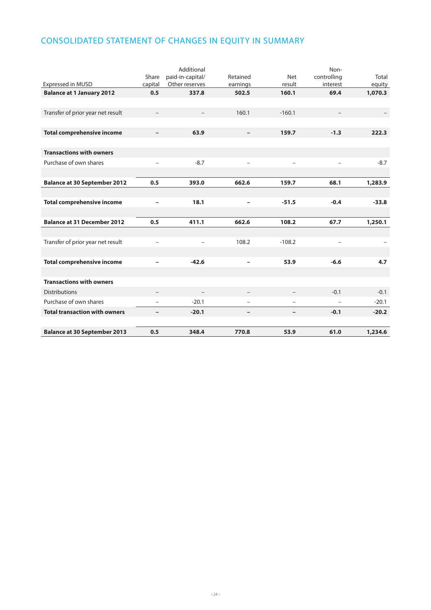## CONSOLIDATED STATEMENT OF CHANGES IN EQUITY IN SUMMARY

|                                      |                          | Additional               |                          |                   | Non-                     |         |
|--------------------------------------|--------------------------|--------------------------|--------------------------|-------------------|--------------------------|---------|
|                                      | Share                    | paid-in-capital/         | Retained                 | <b>Net</b>        | controlling              | Total   |
| <b>Expressed in MUSD</b>             | capital                  | Other reserves           | earnings                 | result            | interest                 | equity  |
| <b>Balance at 1 January 2012</b>     | 0.5                      | 337.8                    | 502.5                    | 160.1             | 69.4                     | 1,070.3 |
|                                      |                          |                          |                          |                   |                          |         |
| Transfer of prior year net result    |                          |                          | 160.1                    | $-160.1$          |                          |         |
|                                      |                          |                          |                          |                   |                          |         |
| <b>Total comprehensive income</b>    |                          | 63.9                     | $\qquad \qquad -$        | 159.7             | $-1.3$                   | 222.3   |
|                                      |                          |                          |                          |                   |                          |         |
| <b>Transactions with owners</b>      |                          |                          |                          |                   |                          |         |
| Purchase of own shares               |                          | $-8.7$                   | $\qquad \qquad -$        | $\qquad \qquad -$ |                          | $-8.7$  |
|                                      |                          |                          |                          |                   |                          |         |
| <b>Balance at 30 September 2012</b>  | 0.5                      | 393.0                    | 662.6                    | 159.7             | 68.1                     | 1,283.9 |
|                                      |                          |                          |                          |                   |                          |         |
| <b>Total comprehensive income</b>    | $\qquad \qquad -$        | 18.1                     | $\qquad \qquad -$        | $-51.5$           | $-0.4$                   | $-33.8$ |
|                                      |                          |                          |                          |                   |                          |         |
| <b>Balance at 31 December 2012</b>   | 0.5                      | 411.1                    | 662.6                    | 108.2             | 67.7                     | 1,250.1 |
|                                      |                          |                          |                          |                   |                          |         |
| Transfer of prior year net result    | $\qquad \qquad -$        | $\qquad \qquad -$        | 108.2                    | $-108.2$          | $\overline{\phantom{m}}$ |         |
|                                      |                          |                          |                          |                   |                          |         |
| <b>Total comprehensive income</b>    | $\qquad \qquad -$        | $-42.6$                  | $\qquad \qquad -$        | 53.9              | $-6.6$                   | 4.7     |
|                                      |                          |                          |                          |                   |                          |         |
| <b>Transactions with owners</b>      |                          |                          |                          |                   |                          |         |
| <b>Distributions</b>                 | $\overline{\phantom{m}}$ | $\overline{\phantom{0}}$ | $\overline{\phantom{m}}$ | $\qquad \qquad -$ | $-0.1$                   | $-0.1$  |
| Purchase of own shares               | $\overline{\phantom{0}}$ | $-20.1$                  | $\qquad \qquad -$        | $\qquad \qquad -$ | $\overline{\phantom{0}}$ | $-20.1$ |
| <b>Total transaction with owners</b> | $\overline{\phantom{m}}$ | $-20.1$                  | $\qquad \qquad -$        | $\qquad \qquad -$ | $-0.1$                   | $-20.2$ |
|                                      |                          |                          |                          |                   |                          |         |
| <b>Balance at 30 September 2013</b>  | 0.5                      | 348.4                    | 770.8                    | 53.9              | 61.0                     | 1,234.6 |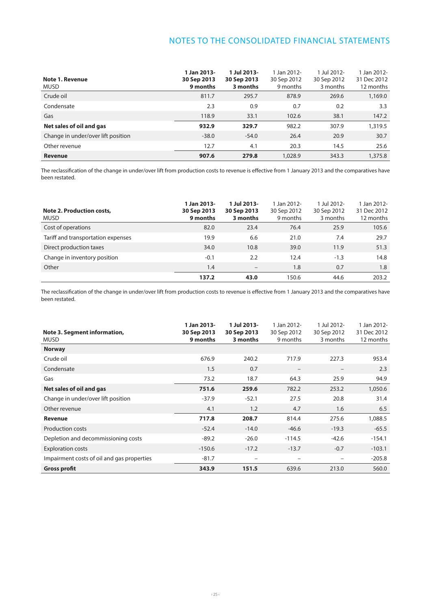### NOTES TO THE CONSOLIDATED FINANCIAL STATEMENTS

| Note 1. Revenue<br><b>MUSD</b>     | 1 Jan 2013-<br>30 Sep 2013<br>9 months | 1 Jul 2013-<br>30 Sep 2013<br>3 months | 1 Jan 2012-<br>30 Sep 2012<br>9 months | 1 Jul 2012-<br>30 Sep 2012<br>3 months | 1 Jan 2012-<br>31 Dec 2012<br>12 months |
|------------------------------------|----------------------------------------|----------------------------------------|----------------------------------------|----------------------------------------|-----------------------------------------|
| Crude oil                          | 811.7                                  | 295.7                                  | 878.9                                  | 269.6                                  | 1,169.0                                 |
| Condensate                         | 2.3                                    | 0.9                                    | 0.7                                    | 0.2                                    | 3.3                                     |
| Gas                                | 118.9                                  | 33.1                                   | 102.6                                  | 38.1                                   | 147.2                                   |
| Net sales of oil and gas           | 932.9                                  | 329.7                                  | 982.2                                  | 307.9                                  | 1,319.5                                 |
| Change in under/over lift position | $-38.0$                                | $-54.0$                                | 26.4                                   | 20.9                                   | 30.7                                    |
| Other revenue                      | 12.7                                   | 4.1                                    | 20.3                                   | 14.5                                   | 25.6                                    |
| <b>Revenue</b>                     | 907.6                                  | 279.8                                  | 1,028.9                                | 343.3                                  | 1,375.8                                 |

The reclassification of the change in under/over lift from production costs to revenue is effective from 1 January 2013 and the comparatives have been restated.

| Note 2. Production costs,<br><b>MUSD</b> | 1 Jan 2013-<br>30 Sep 2013<br>9 months | 1 Jul 2013-<br>30 Sep 2013<br>3 months | 1 Jan 2012-<br>30 Sep 2012<br>9 months | 1 Jul 2012-<br>30 Sep 2012<br>3 months | 1 Jan 2012-<br>31 Dec 2012<br>12 months |
|------------------------------------------|----------------------------------------|----------------------------------------|----------------------------------------|----------------------------------------|-----------------------------------------|
| Cost of operations                       | 82.0                                   | 23.4                                   | 76.4                                   | 25.9                                   | 105.6                                   |
| Tariff and transportation expenses       | 19.9                                   | 6.6                                    | 21.0                                   | 7.4                                    | 29.7                                    |
| Direct production taxes                  | 34.0                                   | 10.8                                   | 39.0                                   | 11.9                                   | 51.3                                    |
| Change in inventory position             | $-0.1$                                 | 2.2                                    | 12.4                                   | $-1.3$                                 | 14.8                                    |
| Other                                    | 1.4                                    | $\hspace{0.05cm}$                      | 1.8                                    | 0.7                                    | 1.8                                     |
|                                          | 137.2                                  | 43.0                                   | 150.6                                  | 44.6                                   | 203.2                                   |

The reclassification of the change in under/over lift from production costs to revenue is effective from 1 January 2013 and the comparatives have been restated.

|                                            | 1 Jan 2013- | 1 Jul 2013- | 1 Jan 2012-              | 1 Jul 2012- | 1 Jan 2012- |
|--------------------------------------------|-------------|-------------|--------------------------|-------------|-------------|
| Note 3. Segment information,               | 30 Sep 2013 | 30 Sep 2013 | 30 Sep 2012              | 30 Sep 2012 | 31 Dec 2012 |
| <b>MUSD</b>                                | 9 months    | 3 months    | 9 months                 | 3 months    | 12 months   |
| <b>Norway</b>                              |             |             |                          |             |             |
| Crude oil                                  | 676.9       | 240.2       | 717.9                    | 227.3       | 953.4       |
| Condensate                                 | 1.5         | 0.7         | $\overline{\phantom{m}}$ |             | 2.3         |
| Gas                                        | 73.2        | 18.7        | 64.3                     | 25.9        | 94.9        |
| Net sales of oil and gas                   | 751.6       | 259.6       | 782.2                    | 253.2       | 1,050.6     |
| Change in under/over lift position         | $-37.9$     | $-52.1$     | 27.5                     | 20.8        | 31.4        |
| Other revenue                              | 4.1         | 1.2         | 4.7                      | 1.6         | 6.5         |
| <b>Revenue</b>                             | 717.8       | 208.7       | 814.4                    | 275.6       | 1,088.5     |
| <b>Production costs</b>                    | $-52.4$     | $-14.0$     | $-46.6$                  | $-19.3$     | $-65.5$     |
| Depletion and decommissioning costs        | $-89.2$     | $-26.0$     | $-114.5$                 | $-42.6$     | $-154.1$    |
| <b>Exploration costs</b>                   | $-150.6$    | $-17.2$     | $-13.7$                  | $-0.7$      | $-103.1$    |
| Impairment costs of oil and gas properties | $-81.7$     | -           | $\qquad \qquad -$        |             | $-205.8$    |
| <b>Gross profit</b>                        | 343.9       | 151.5       | 639.6                    | 213.0       | 560.0       |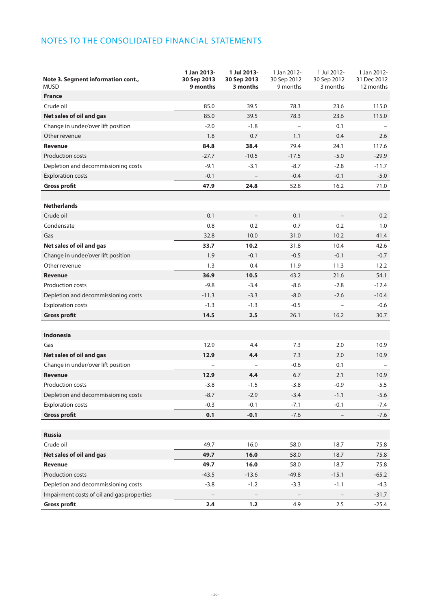## NOTES TO THE CONSOLIDATED FINANCIAL STATEMENTS

| Note 3. Segment information cont.,<br><b>MUSD</b> | 1 Jan 2013-<br>30 Sep 2013<br><b>9 months</b> | 1 Jul 2013-<br>30 Sep 2013<br>3 months | 1 Jan 2012-<br>30 Sep 2012<br>9 months | 1 Jul 2012-<br>30 Sep 2012<br>3 months | 1 Jan 2012-<br>31 Dec 2012<br>12 months |
|---------------------------------------------------|-----------------------------------------------|----------------------------------------|----------------------------------------|----------------------------------------|-----------------------------------------|
| <b>France</b>                                     |                                               |                                        |                                        |                                        |                                         |
| Crude oil                                         | 85.0                                          | 39.5                                   | 78.3                                   | 23.6                                   | 115.0                                   |
| Net sales of oil and gas                          | 85.0                                          | 39.5                                   | 78.3                                   | 23.6                                   | 115.0                                   |
| Change in under/over lift position                | $-2.0$                                        | $-1.8$                                 |                                        | 0.1                                    |                                         |
| Other revenue                                     | 1.8                                           | 0.7                                    | 1.1                                    | 0.4                                    | 2.6                                     |
| <b>Revenue</b>                                    | 84.8                                          | 38.4                                   | 79.4                                   | 24.1                                   | 117.6                                   |
| <b>Production costs</b>                           | $-27.7$                                       | $-10.5$                                | $-17.5$                                | $-5.0$                                 | $-29.9$                                 |
| Depletion and decommissioning costs               | $-9.1$                                        | $-3.1$                                 | $-8.7$                                 | $-2.8$                                 | $-11.7$                                 |
| <b>Exploration costs</b>                          | $-0.1$                                        |                                        | $-0.4$                                 | $-0.1$                                 | $-5.0$                                  |
| <b>Gross profit</b>                               | 47.9                                          | 24.8                                   | 52.8                                   | 16.2                                   | 71.0                                    |
|                                                   |                                               |                                        |                                        |                                        |                                         |
| <b>Netherlands</b>                                |                                               |                                        |                                        |                                        |                                         |
| Crude oil                                         | 0.1                                           |                                        | 0.1                                    |                                        | 0.2                                     |
| Condensate                                        | 0.8                                           | 0.2                                    | 0.7                                    | 0.2                                    | 1.0                                     |
| Gas                                               | 32.8                                          | 10.0                                   | 31.0                                   | 10.2                                   | 41.4                                    |
| Net sales of oil and gas                          | 33.7                                          | 10.2                                   | 31.8                                   | 10.4                                   | 42.6                                    |
| Change in under/over lift position                | 1.9                                           | $-0.1$                                 | $-0.5$                                 | $-0.1$                                 | $-0.7$                                  |
| Other revenue                                     | 1.3                                           | 0.4                                    | 11.9                                   | 11.3                                   | 12.2                                    |
| <b>Revenue</b>                                    | 36.9                                          | 10.5                                   | 43.2                                   | 21.6                                   | 54.1                                    |
| Production costs                                  | $-9.8$                                        | $-3.4$                                 | $-8.6$                                 | $-2.8$                                 | $-12.4$                                 |
| Depletion and decommissioning costs               | $-11.3$                                       | $-3.3$                                 | $-8.0$                                 | $-2.6$                                 | $-10.4$                                 |
| <b>Exploration costs</b>                          | $-1.3$                                        | $-1.3$                                 | $-0.5$                                 |                                        | $-0.6$                                  |
| <b>Gross profit</b>                               | 14.5                                          | 2.5                                    | 26.1                                   | 16.2                                   | 30.7                                    |
|                                                   |                                               |                                        |                                        |                                        |                                         |
| Indonesia                                         |                                               |                                        |                                        |                                        |                                         |
| Gas                                               | 12.9                                          | 4.4                                    | 7.3                                    | 2.0                                    | 10.9                                    |
| Net sales of oil and gas                          | 12.9                                          | 4.4                                    | 7.3                                    | 2.0                                    | 10.9                                    |
| Change in under/over lift position                | $\qquad \qquad -$                             | $\qquad \qquad -$                      | $-0.6$                                 | 0.1                                    |                                         |
| <b>Revenue</b>                                    | 12.9                                          | 4.4                                    | 6.7                                    | 2.1                                    | 10.9                                    |
| <b>Production costs</b>                           | $-3.8$                                        | $-1.5$                                 | $-3.8$                                 | $-0.9$                                 | $-5.5$                                  |
| Depletion and decommissioning costs               | $-8.7$                                        | $-2.9$                                 | $-3.4$                                 | $-1.1$                                 | $-5.6$                                  |
| <b>Exploration costs</b>                          | $-0.3$                                        | $-0.1$                                 | $-7.1$                                 | $-0.1$                                 | $-7.4$                                  |
| <b>Gross profit</b>                               | 0.1                                           | $-0.1$                                 | $-7.6$                                 |                                        | $-7.6$                                  |
|                                                   |                                               |                                        |                                        |                                        |                                         |
| <b>Russia</b>                                     |                                               |                                        |                                        |                                        |                                         |
| Crude oil                                         | 49.7                                          | 16.0                                   | 58.0                                   | 18.7                                   | 75.8                                    |
| Net sales of oil and gas                          | 49.7                                          | 16.0                                   | 58.0                                   | 18.7                                   | 75.8                                    |
| Revenue                                           | 49.7                                          | 16.0                                   | 58.0                                   | 18.7                                   | 75.8                                    |
| Production costs                                  | $-43.5$                                       | $-13.6$                                | $-49.8$                                | $-15.1$                                | $-65.2$                                 |
| Depletion and decommissioning costs               | $-3.8$                                        | $-1.2$                                 | $-3.3$                                 | $-1.1$                                 | $-4.3$                                  |
| Impairment costs of oil and gas properties        |                                               |                                        |                                        |                                        | $-31.7$                                 |
| <b>Gross profit</b>                               | 2.4                                           | $1.2$                                  | 4.9                                    | 2.5                                    | $-25.4$                                 |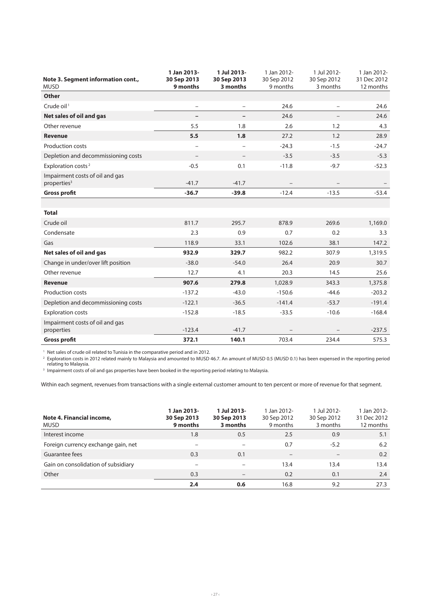| Note 3. Segment information cont.,                         | 1 Jan 2013-<br>30 Sep 2013 | 1 Jul 2013-<br>30 Sep 2013 | 1 Jan 2012-<br>30 Sep 2012 | 1 Jul 2012-<br>30 Sep 2012 | 1 Jan 2012-<br>31 Dec 2012 |
|------------------------------------------------------------|----------------------------|----------------------------|----------------------------|----------------------------|----------------------------|
| <b>MUSD</b>                                                | 9 months                   | 3 months                   | 9 months                   | 3 months                   | 12 months                  |
| <b>Other</b>                                               |                            |                            |                            |                            |                            |
| Crude oil <sup>1</sup>                                     | $\qquad \qquad -$          | $\overline{\phantom{0}}$   | 24.6                       | $\qquad \qquad -$          | 24.6                       |
| Net sales of oil and gas                                   |                            |                            | 24.6                       |                            | 24.6                       |
| Other revenue                                              | 5.5                        | 1.8                        | 2.6                        | 1.2                        | 4.3                        |
| <b>Revenue</b>                                             | 5.5                        | 1.8                        | 27.2                       | 1.2                        | 28.9                       |
| <b>Production costs</b>                                    | $\overline{\phantom{0}}$   |                            | $-24.3$                    | $-1.5$                     | $-24.7$                    |
| Depletion and decommissioning costs                        | $\overline{\phantom{0}}$   | $\overline{\phantom{0}}$   | $-3.5$                     | $-3.5$                     | $-5.3$                     |
| Exploration costs <sup>2</sup>                             | $-0.5$                     | 0.1                        | $-11.8$                    | $-9.7$                     | $-52.3$                    |
| Impairment costs of oil and gas<br>properties <sup>3</sup> | $-41.7$                    | $-41.7$                    |                            |                            |                            |
| <b>Gross profit</b>                                        | $-36.7$                    | $-39.8$                    | $-12.4$                    | $-13.5$                    | $-53.4$                    |
|                                                            |                            |                            |                            |                            |                            |
| <b>Total</b>                                               |                            |                            |                            |                            |                            |
| Crude oil                                                  | 811.7                      | 295.7                      | 878.9                      | 269.6                      | 1,169.0                    |
| Condensate                                                 | 2.3                        | 0.9                        | 0.7                        | 0.2                        | 3.3                        |
| Gas                                                        | 118.9                      | 33.1                       | 102.6                      | 38.1                       | 147.2                      |
| Net sales of oil and gas                                   | 932.9                      | 329.7                      | 982.2                      | 307.9                      | 1,319.5                    |
| Change in under/over lift position                         | $-38.0$                    | $-54.0$                    | 26.4                       | 20.9                       | 30.7                       |
| Other revenue                                              | 12.7                       | 4.1                        | 20.3                       | 14.5                       | 25.6                       |
| <b>Revenue</b>                                             | 907.6                      | 279.8                      | 1,028.9                    | 343.3                      | 1,375.8                    |
| <b>Production costs</b>                                    | $-137.2$                   | $-43.0$                    | $-150.6$                   | $-44.6$                    | $-203.2$                   |
| Depletion and decommissioning costs                        | $-122.1$                   | $-36.5$                    | $-141.4$                   | $-53.7$                    | $-191.4$                   |
| <b>Exploration costs</b>                                   | $-152.8$                   | $-18.5$                    | $-33.5$                    | $-10.6$                    | $-168.4$                   |
| Impairment costs of oil and gas<br>properties              | $-123.4$                   | $-41.7$                    |                            |                            | $-237.5$                   |
| <b>Gross profit</b>                                        | 372.1                      | 140.1                      | 703.4                      | 234.4                      | 575.3                      |

<sup>1</sup> Net sales of crude oil related to Tunisia in the comparative period and in 2012.

<sup>2</sup> Exploration costs in 2012 related mainly to Malaysia and amounted to MUSD 46.7. An amount of MUSD 0.5 (MUSD 0.1) has been expensed in the reporting period relating to Malaysia.

<sup>3</sup> Impairment costs of oil and gas properties have been booked in the reporting period relating to Malaysia.

Within each segment, revenues from transactions with a single external customer amount to ten percent or more of revenue for that segment.

| Note 4. Financial income,<br><b>MUSD</b> | 1 Jan 2013-<br>30 Sep 2013<br>9 months | 1 Jul 2013-<br>30 Sep 2013<br>3 months | 1 Jan 2012-<br>30 Sep 2012<br>9 months | 1 Jul 2012-<br>30 Sep 2012<br>3 months | 1 Jan 2012-<br>31 Dec 2012<br>12 months |
|------------------------------------------|----------------------------------------|----------------------------------------|----------------------------------------|----------------------------------------|-----------------------------------------|
| Interest income                          | 1.8                                    | 0.5                                    | 2.5                                    | 0.9                                    | 5.1                                     |
| Foreign currency exchange gain, net      |                                        | $\qquad \qquad$                        | 0.7                                    | $-5.2$                                 | 6.2                                     |
| Guarantee fees                           | 0.3                                    | 0.1                                    | $\qquad \qquad$                        |                                        | 0.2                                     |
| Gain on consolidation of subsidiary      |                                        |                                        | 13.4                                   | 13.4                                   | 13.4                                    |
| Other                                    | 0.3                                    | $\overline{\phantom{0}}$               | 0.2                                    | 0.1                                    | 2.4                                     |
|                                          | 2.4                                    | 0.6                                    | 16.8                                   | 9.2                                    | 27.3                                    |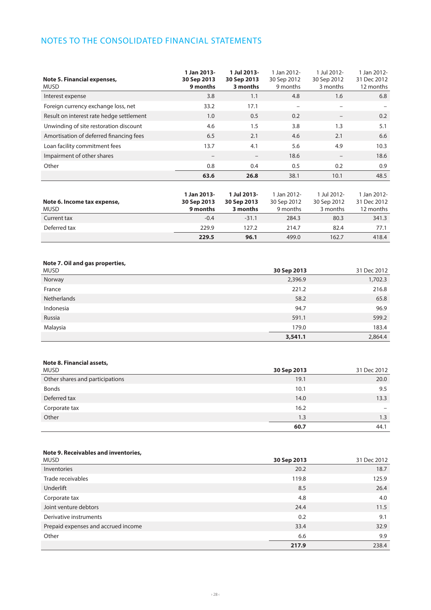## NOTES TO THE CONSOLIDATED FINANCIAL STATEMENTS

| Note 5. Financial expenses,<br><b>MUSD</b> | 1 Jan 2013-<br>30 Sep 2013<br>9 months | 1 Jul 2013-<br>30 Sep 2013<br>3 months | 1 Jan 2012-<br>30 Sep 2012<br>9 months | 1 Jul 2012-<br>30 Sep 2012<br>3 months | 1 Jan 2012-<br>31 Dec 2012<br>12 months |
|--------------------------------------------|----------------------------------------|----------------------------------------|----------------------------------------|----------------------------------------|-----------------------------------------|
| Interest expense                           | 3.8                                    | 1.1                                    | 4.8                                    | 1.6                                    | 6.8                                     |
| Foreign currency exchange loss, net        | 33.2                                   | 17.1                                   |                                        |                                        |                                         |
| Result on interest rate hedge settlement   | 1.0                                    | 0.5                                    | 0.2                                    | $\qquad \qquad -$                      | 0.2                                     |
| Unwinding of site restoration discount     | 4.6                                    | 1.5                                    | 3.8                                    | 1.3                                    | 5.1                                     |
| Amortisation of deferred financing fees    | 6.5                                    | 2.1                                    | 4.6                                    | 2.1                                    | 6.6                                     |
| Loan facility commitment fees              | 13.7                                   | 4.1                                    | 5.6                                    | 4.9                                    | 10.3                                    |
| Impairment of other shares                 | $\qquad \qquad -$                      | $\overline{\phantom{a}}$               | 18.6                                   | $\overline{\phantom{m}}$               | 18.6                                    |
| Other                                      | 0.8                                    | 0.4                                    | 0.5                                    | 0.2                                    | 0.9                                     |
|                                            | 63.6                                   | 26.8                                   | 38.1                                   | 10.1                                   | 48.5                                    |

| Note 6. Income tax expense,<br><b>MUSD</b> | 1 Jan 2013-<br>30 Sep 2013<br>9 months | 1 Jul 2013-<br>30 Sep 2013<br>3 months | 1 Jan 2012-<br>30 Sep 2012<br>9 months | 1 Jul 2012-<br>30 Sep 2012<br>3 months | 1 Jan 2012-<br>31 Dec 2012<br>12 months |
|--------------------------------------------|----------------------------------------|----------------------------------------|----------------------------------------|----------------------------------------|-----------------------------------------|
| Current tax                                | $-0.4$                                 | $-31.1$                                | 284.3                                  | 80.3                                   | 341.3                                   |
| Deferred tax                               | 229.9                                  | 127.2                                  | 214.7                                  | 82.4                                   | 77.1                                    |
|                                            | 229.5                                  | 96.1                                   | 499.0                                  | 162.7                                  | 418.4                                   |

### **Note 7. Oil and gas properties,**

| <b>MUSD</b> | 30 Sep 2013 | 31 Dec 2012 |
|-------------|-------------|-------------|
| Norway      | 2,396.9     | 1,702.3     |
| France      | 221.2       | 216.8       |
| Netherlands | 58.2        | 65.8        |
| Indonesia   | 94.7        | 96.9        |
| Russia      | 591.1       | 599.2       |
| Malaysia    | 179.0       | 183.4       |
|             | 3,541.1     | 2,864.4     |

### **Note 8. Financial assets,**

| <b>MUSD</b>                     | 30 Sep 2013 | 31 Dec 2012 |
|---------------------------------|-------------|-------------|
| Other shares and participations | 19.1        | 20.0        |
| <b>Bonds</b>                    | 10.1        | 9.5         |
| Deferred tax                    | 14.0        | 13.3        |
| Corporate tax                   | 16.2        |             |
| Other                           | 1.3         | 1.3         |
|                                 | 60.7        | 44.1        |

### **Note 9. Receivables and inventories,**

| <b>MUSD</b>                         | 30 Sep 2013 | 31 Dec 2012 |
|-------------------------------------|-------------|-------------|
| Inventories                         | 20.2        | 18.7        |
| Trade receivables                   | 119.8       | 125.9       |
| Underlift                           | 8.5         | 26.4        |
| Corporate tax                       | 4.8         | 4.0         |
| Joint venture debtors               | 24.4        | 11.5        |
| Derivative instruments              | 0.2         | 9.1         |
| Prepaid expenses and accrued income | 33.4        | 32.9        |
| Other                               | 6.6         | 9.9         |
|                                     | 217.9       | 238.4       |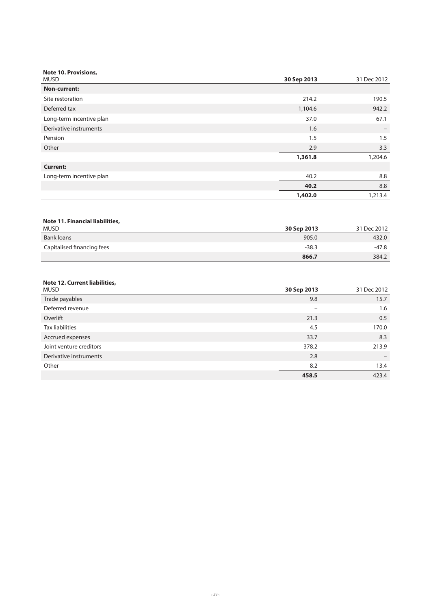| Note 10. Provisions,     |             |             |
|--------------------------|-------------|-------------|
| <b>MUSD</b>              | 30 Sep 2013 | 31 Dec 2012 |
| Non-current:             |             |             |
| Site restoration         | 214.2       | 190.5       |
| Deferred tax             | 1,104.6     | 942.2       |
| Long-term incentive plan | 37.0        | 67.1        |
| Derivative instruments   | 1.6         |             |
| Pension                  | 1.5         | 1.5         |
| Other                    | 2.9         | 3.3         |
|                          | 1,361.8     | 1,204.6     |
| <b>Current:</b>          |             |             |
| Long-term incentive plan | 40.2        | 8.8         |
|                          | 40.2        | 8.8         |
|                          | 1,402.0     | 1,213.4     |

### **Note 11. Financial liabilities,**

| <b>MUSD</b>                | 30 Sep 2013 | 31 Dec 2012 |
|----------------------------|-------------|-------------|
| Bank loans                 | 905.0       | 432.0       |
| Capitalised financing fees | $-38.3$     | -47.8       |
|                            | 866.7       | 384.2       |

### **Note 12. Current liabilities,**

| <b>MUSD</b>             | 30 Sep 2013              | 31 Dec 2012 |
|-------------------------|--------------------------|-------------|
| Trade payables          | 9.8                      | 15.7        |
| Deferred revenue        | $\overline{\phantom{0}}$ | 1.6         |
| Overlift                | 21.3                     | 0.5         |
| Tax liabilities         | 4.5                      | 170.0       |
| Accrued expenses        | 33.7                     | 8.3         |
| Joint venture creditors | 378.2                    | 213.9       |
| Derivative instruments  | 2.8                      |             |
| Other                   | 8.2                      | 13.4        |
|                         | 458.5                    | 423.4       |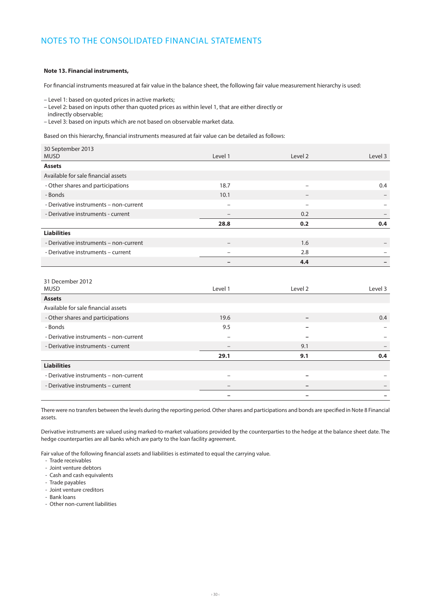### NOTES TO THE CONSOLIDATED FINANCIAL STATEMENTS

#### **Note 13. Financial instruments,**

For financial instruments measured at fair value in the balance sheet, the following fair value measurement hierarchy is used:

– Level 1: based on quoted prices in active markets;

– Level 2: based on inputs other than quoted prices as within level 1, that are either directly or

indirectly observable;

– Level 3: based on inputs which are not based on observable market data.

Based on this hierarchy, financial instruments measured at fair value can be detailed as follows:

| 30 September 2013                      |         |                   |         |
|----------------------------------------|---------|-------------------|---------|
| <b>MUSD</b>                            | Level 1 | Level 2           | Level 3 |
| <b>Assets</b>                          |         |                   |         |
| Available for sale financial assets    |         |                   |         |
| - Other shares and participations      | 18.7    |                   | 0.4     |
| - Bonds                                | 10.1    | $\qquad \qquad -$ |         |
| - Derivative instruments - non-current |         | -                 |         |
| - Derivative instruments - current     |         | 0.2               |         |
|                                        | 28.8    | 0.2               | 0.4     |
| <b>Liabilities</b>                     |         |                   |         |
| - Derivative instruments - non-current |         | 1.6               |         |
| - Derivative instruments - current     |         | 2.8               |         |
|                                        |         | 4.4               |         |

| 31 December 2012<br><b>MUSD</b>        | Level 1 | Level 2                  | Level 3 |
|----------------------------------------|---------|--------------------------|---------|
| <b>Assets</b>                          |         |                          |         |
| Available for sale financial assets    |         |                          |         |
| - Other shares and participations      | 19.6    | $\overline{\phantom{0}}$ | 0.4     |
| - Bonds                                | 9.5     | -                        |         |
| - Derivative instruments - non-current |         |                          |         |
| - Derivative instruments - current     |         | 9.1                      |         |
|                                        | 29.1    | 9.1                      | 0.4     |
| <b>Liabilities</b>                     |         |                          |         |
| - Derivative instruments - non-current |         |                          |         |
| - Derivative instruments – current     |         | -                        |         |
|                                        |         |                          |         |

There were no transfers between the levels during the reporting period. Other shares and participations and bonds are specified in Note 8 Financial assets.

Derivative instruments are valued using marked-to-market valuations provided by the counterparties to the hedge at the balance sheet date. The hedge counterparties are all banks which are party to the loan facility agreement.

Fair value of the following financial assets and liabilities is estimated to equal the carrying value.

- Trade receivables

- Joint venture debtors

- Cash and cash equivalents

- Trade payables

- Joint venture creditors

- Bank loans

- Other non-current liabilities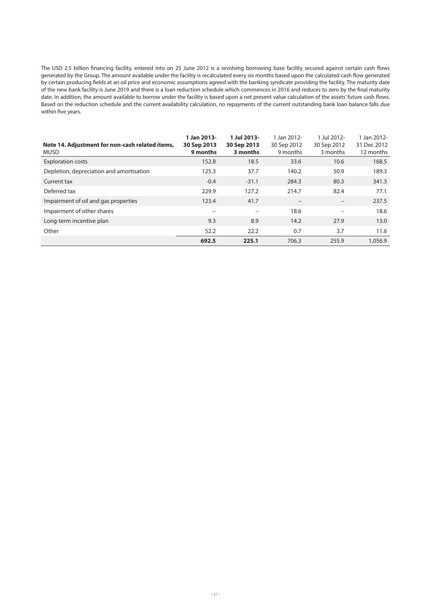The USD 2.5 billion financing facility, entered into on 25 June 2012 is a revolving borrowing base facility secured against certain cash flows generated by the Group. The amount available under the facility is recalculated every six months based upon the calculated cash flow generated by certain producing fields at an oil price and economic assumptions agreed with the banking syndicate providing the facility. The maturity date of the new bank facility is June 2019 and there is a loan reduction schedule which commences in 2016 and reduces to zero by the final maturity date. In addition, the amount available to borrow under the facility is based upon a net present value calculation of the assets' future cash flows. Based on the reduction schedule and the current availability calculation, no repayments of the current outstanding bank loan balance falls due within five years.

| Note 14. Adjustment for non-cash related items,<br><b>MUSD</b> | 1 Jan 2013-<br>30 Sep 2013<br>9 months | 1 Jul 2013-<br>30 Sep 2013<br>3 months | 1 Jan 2012-<br>30 Sep 2012<br>9 months | 1 Jul 2012-<br>30 Sep 2012<br>3 months | 1 Jan 2012-<br>31 Dec 2012<br>12 months |
|----------------------------------------------------------------|----------------------------------------|----------------------------------------|----------------------------------------|----------------------------------------|-----------------------------------------|
| <b>Exploration costs</b>                                       | 152.8                                  | 18.5                                   | 33.6                                   | 10.6                                   | 168.5                                   |
| Depletion, depreciation and amortisation                       | 125.3                                  | 37.7                                   | 140.2                                  | 50.9                                   | 189.3                                   |
| Current tax                                                    | $-0.4$                                 | $-31.1$                                | 284.3                                  | 80.3                                   | 341.3                                   |
| Deferred tax                                                   | 229.9                                  | 127.2                                  | 214.7                                  | 82.4                                   | 77.1                                    |
| Impairment of oil and gas properties                           | 123.4                                  | 41.7                                   | $\qquad \qquad -$                      | $\overline{\phantom{m}}$               | 237.5                                   |
| Impairment of other shares                                     |                                        | $\qquad \qquad -$                      | 18.6                                   | $\qquad \qquad -$                      | 18.6                                    |
| Long-term incentive plan                                       | 9.3                                    | 8.9                                    | 14.2                                   | 27.9                                   | 13.0                                    |
| Other                                                          | 52.2                                   | 22.2                                   | 0.7                                    | 3.7                                    | 11.6                                    |
|                                                                | 692.5                                  | 225.1                                  | 706.3                                  | 255.9                                  | 1.056.9                                 |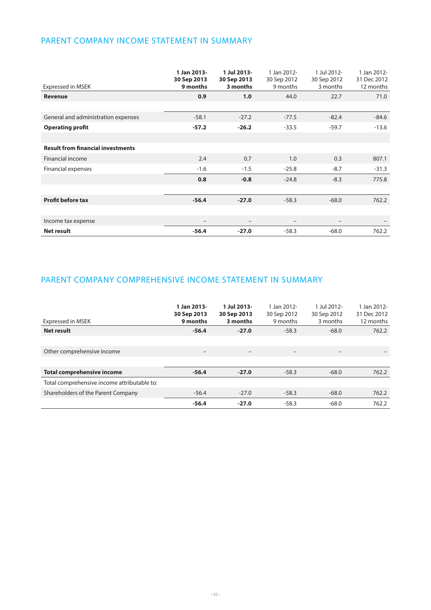## PARENT COMPANY INCOME STATEMENT IN SUMMARY

|                                          | 1 Jan 2013-<br>30 Sep 2013<br>9 months | 1 Jul 2013-<br>30 Sep 2013<br>3 months | 1 Jan 2012-<br>30 Sep 2012 | 1 Jul 2012-<br>30 Sep 2012 | 1 Jan 2012-<br>31 Dec 2012 |
|------------------------------------------|----------------------------------------|----------------------------------------|----------------------------|----------------------------|----------------------------|
| Expressed in MSEK                        |                                        |                                        | 9 months                   | 3 months                   | 12 months                  |
| <b>Revenue</b>                           | 0.9                                    | 1.0                                    | 44.0                       | 22.7                       | 71.0                       |
|                                          |                                        |                                        |                            |                            |                            |
| General and administration expenses      | $-58.1$                                | $-27.2$                                | $-77.5$                    | $-82.4$                    | $-84.6$                    |
| <b>Operating profit</b>                  | $-57.2$                                | $-26.2$                                | $-33.5$                    | $-59.7$                    | $-13.6$                    |
|                                          |                                        |                                        |                            |                            |                            |
| <b>Result from financial investments</b> |                                        |                                        |                            |                            |                            |
| Financial income                         | 2.4                                    | 0.7                                    | 1.0                        | 0.3                        | 807.1                      |
| Financial expenses                       | $-1.6$                                 | $-1.5$                                 | $-25.8$                    | $-8.7$                     | $-31.3$                    |
|                                          | 0.8                                    | $-0.8$                                 | $-24.8$                    | $-8.3$                     | 775.8                      |
|                                          |                                        |                                        |                            |                            |                            |
| <b>Profit before tax</b>                 | $-56.4$                                | $-27.0$                                | $-58.3$                    | $-68.0$                    | 762.2                      |
|                                          |                                        |                                        |                            |                            |                            |
| Income tax expense                       | $\qquad \qquad$                        | $\overline{\phantom{0}}$               | $\qquad \qquad -$          | -                          |                            |
| Net result                               | $-56.4$                                | $-27.0$                                | $-58.3$                    | $-68.0$                    | 762.2                      |

## PARENT COMPANY COMPREHENSIVE INCOME STATEMENT IN SUMMARY

| Expressed in MSEK                           | 1 Jan 2013-<br>30 Sep 2013<br>9 months | 1 Jul 2013-<br>30 Sep 2013<br>3 months | 1 Jan 2012-<br>30 Sep 2012<br>9 months | 1 Jul 2012-<br>30 Sep 2012<br>3 months | 1 Jan 2012-<br>31 Dec 2012<br>12 months |
|---------------------------------------------|----------------------------------------|----------------------------------------|----------------------------------------|----------------------------------------|-----------------------------------------|
| Net result                                  | $-56.4$                                | $-27.0$                                | $-58.3$                                | $-68.0$                                | 762.2                                   |
|                                             |                                        |                                        |                                        |                                        |                                         |
| Other comprehensive income                  | $\qquad \qquad -$                      |                                        | $\qquad \qquad -$                      | $\qquad \qquad \qquad$                 |                                         |
|                                             |                                        |                                        |                                        |                                        |                                         |
| <b>Total comprehensive income</b>           | $-56.4$                                | $-27.0$                                | $-58.3$                                | $-68.0$                                | 762.2                                   |
| Total comprehensive income attributable to: |                                        |                                        |                                        |                                        |                                         |
| Shareholders of the Parent Company          | $-56.4$                                | $-27.0$                                | $-58.3$                                | $-68.0$                                | 762.2                                   |
|                                             | $-56.4$                                | $-27.0$                                | $-58.3$                                | $-68.0$                                | 762.2                                   |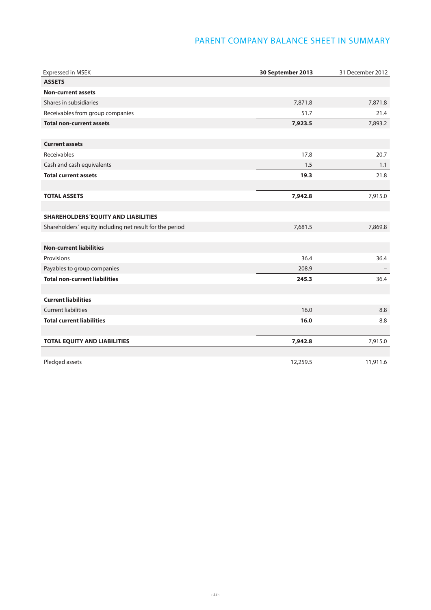## PARENT COMPANY BALANCE SHEET IN SUMMARY

| <b>Expressed in MSEK</b>                                 | 30 September 2013 | 31 December 2012 |
|----------------------------------------------------------|-------------------|------------------|
| <b>ASSETS</b>                                            |                   |                  |
| <b>Non-current assets</b>                                |                   |                  |
| Shares in subsidiaries                                   | 7,871.8           | 7,871.8          |
| Receivables from group companies                         | 51.7              | 21.4             |
| <b>Total non-current assets</b>                          | 7,923.5           | 7,893.2          |
|                                                          |                   |                  |
| <b>Current assets</b>                                    |                   |                  |
| Receivables                                              | 17.8              | 20.7             |
| Cash and cash equivalents                                | 1.5               | 1.1              |
| <b>Total current assets</b>                              | 19.3              | 21.8             |
|                                                          |                   |                  |
| <b>TOTAL ASSETS</b>                                      | 7,942.8           | 7,915.0          |
|                                                          |                   |                  |
| <b>SHAREHOLDERS'EQUITY AND LIABILITIES</b>               |                   |                  |
| Shareholders' equity including net result for the period | 7,681.5           | 7,869.8          |
|                                                          |                   |                  |
| <b>Non-current liabilities</b>                           |                   |                  |
| Provisions                                               | 36.4              | 36.4             |
| Payables to group companies                              | 208.9             |                  |
| <b>Total non-current liabilities</b>                     | 245.3             | 36.4             |
|                                                          |                   |                  |
| <b>Current liabilities</b>                               |                   |                  |
| <b>Current liabilities</b>                               | 16.0              | 8.8              |
| <b>Total current liabilities</b>                         | 16.0              | 8.8              |
|                                                          |                   |                  |
| <b>TOTAL EQUITY AND LIABILITIES</b>                      | 7,942.8           | 7,915.0          |
|                                                          |                   |                  |
| Pledged assets                                           | 12,259.5          | 11,911.6         |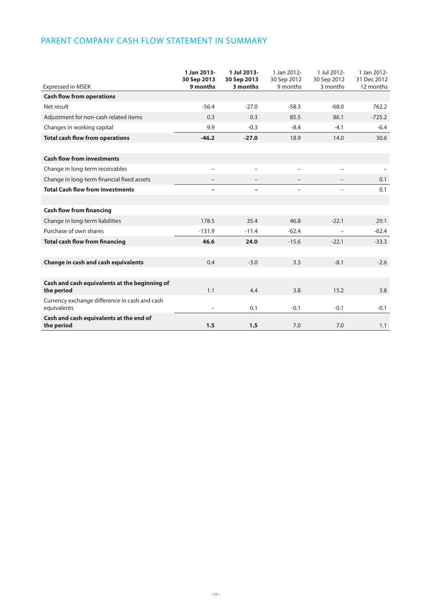## PARENT COMPANY CASH FLOW STATEMENT IN SUMMARY

|                                                              | 1 Jan 2013-<br>30 Sep 2013 | 1 Jul 2013-<br>30 Sep 2013 | 1 Jan 2012-<br>30 Sep 2012 | 1 Jul 2012-<br>30 Sep 2012 | 1 Jan 2012-<br>31 Dec 2012 |
|--------------------------------------------------------------|----------------------------|----------------------------|----------------------------|----------------------------|----------------------------|
| <b>Expressed in MSEK</b>                                     | 9 months                   | 3 months                   | 9 months                   | 3 months                   | 12 months                  |
| <b>Cash flow from operations</b>                             |                            |                            |                            |                            |                            |
| Net result                                                   | $-56.4$                    | $-27.0$                    | $-58.3$                    | $-68.0$                    | 762.2                      |
| Adjustment for non-cash related items                        | 0.3                        | 0.3                        | 85.5                       | 86.1                       | $-725.2$                   |
| Changes in working capital                                   | 9.9                        | $-0.3$                     | $-8.4$                     | $-4.1$                     | $-6.4$                     |
| <b>Total cash flow from operations</b>                       | $-46.2$                    | $-27.0$                    | 18.9                       | 14.0                       | 30.6                       |
|                                                              |                            |                            |                            |                            |                            |
| <b>Cash flow from investments</b>                            |                            |                            |                            |                            |                            |
| Change in long-term receivables                              | $\overline{\phantom{m}}$   | $\overline{\phantom{0}}$   | $\overline{\phantom{0}}$   | $\qquad \qquad -$          |                            |
| Change in long-term financial fixed assets                   |                            |                            |                            |                            | 0.1                        |
| <b>Total Cash flow from investments</b>                      |                            | -                          |                            |                            | 0.1                        |
|                                                              |                            |                            |                            |                            |                            |
| <b>Cash flow from financing</b>                              |                            |                            |                            |                            |                            |
| Change in long-term liabilities                              | 178.5                      | 35.4                       | 46.8                       | $-22.1$                    | 29.1                       |
| Purchase of own shares                                       | $-131.9$                   | $-11.4$                    | $-62.4$                    |                            | $-62.4$                    |
| <b>Total cash flow from financing</b>                        | 46.6                       | 24.0                       | $-15.6$                    | $-22.1$                    | $-33.3$                    |
|                                                              |                            |                            |                            |                            |                            |
| <b>Change in cash and cash equivalents</b>                   | 0.4                        | $-3.0$                     | 3.3                        | $-8.1$                     | $-2.6$                     |
|                                                              |                            |                            |                            |                            |                            |
| Cash and cash equivalents at the beginning of<br>the period  | 1.1                        | 4.4                        | 3.8                        | 15.2                       | 3.8                        |
| Currency exchange difference in cash and cash<br>equivalents | $\overline{\phantom{0}}$   | 0.1                        | $-0.1$                     | $-0.1$                     | $-0.1$                     |
| Cash and cash equivalents at the end of<br>the period        | 1.5                        | 1.5                        | 7.0                        | 7.0                        | 1.1                        |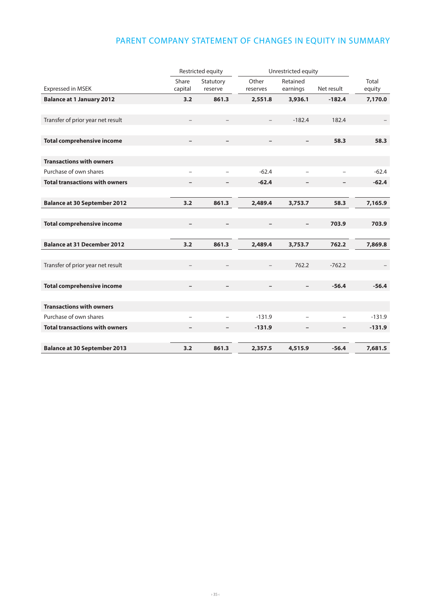## PARENT COMPANY STATEMENT OF CHANGES IN EQUITY IN SUMMARY

|                                       |                          | Restricted equity        |                   | Unrestricted equity      |                          |                 |
|---------------------------------------|--------------------------|--------------------------|-------------------|--------------------------|--------------------------|-----------------|
| <b>Expressed in MSEK</b>              | Share<br>capital         | Statutory<br>reserve     | Other<br>reserves | Retained<br>earnings     | Net result               | Total<br>equity |
| <b>Balance at 1 January 2012</b>      | 3.2                      | 861.3                    | 2,551.8           | 3,936.1                  | $-182.4$                 | 7,170.0         |
|                                       |                          |                          |                   |                          |                          |                 |
| Transfer of prior year net result     |                          |                          |                   | $-182.4$                 | 182.4                    |                 |
|                                       |                          |                          |                   |                          |                          |                 |
| <b>Total comprehensive income</b>     |                          |                          |                   |                          | 58.3                     | 58.3            |
|                                       |                          |                          |                   |                          |                          |                 |
| <b>Transactions with owners</b>       |                          |                          |                   |                          |                          |                 |
| Purchase of own shares                | $\overline{\phantom{0}}$ |                          | $-62.4$           |                          |                          | $-62.4$         |
| <b>Total transactions with owners</b> |                          |                          | $-62.4$           |                          |                          | $-62.4$         |
|                                       |                          |                          |                   |                          |                          |                 |
| <b>Balance at 30 September 2012</b>   | 3.2                      | 861.3                    | 2,489.4           | 3,753.7                  | 58.3                     | 7,165.9         |
|                                       |                          |                          |                   |                          |                          |                 |
| <b>Total comprehensive income</b>     |                          |                          |                   |                          | 703.9                    | 703.9           |
|                                       |                          |                          |                   |                          |                          |                 |
| <b>Balance at 31 December 2012</b>    | 3.2                      | 861.3                    | 2,489.4           | 3,753.7                  | 762.2                    | 7,869.8         |
|                                       |                          |                          |                   |                          |                          |                 |
| Transfer of prior year net result     |                          |                          |                   | 762.2                    | $-762.2$                 |                 |
|                                       |                          |                          |                   |                          |                          |                 |
| <b>Total comprehensive income</b>     |                          |                          |                   |                          | $-56.4$                  | $-56.4$         |
|                                       |                          |                          |                   |                          |                          |                 |
| <b>Transactions with owners</b>       |                          |                          |                   |                          |                          |                 |
| Purchase of own shares                | $\qquad \qquad -$        | $\overline{\phantom{0}}$ | $-131.9$          | $\overline{\phantom{0}}$ | $\overline{\phantom{0}}$ | $-131.9$        |
| <b>Total transactions with owners</b> |                          |                          | $-131.9$          | -                        | $\qquad \qquad -$        | $-131.9$        |
|                                       |                          |                          |                   |                          |                          |                 |
| <b>Balance at 30 September 2013</b>   | 3.2                      | 861.3                    | 2,357.5           | 4,515.9                  | $-56.4$                  | 7,681.5         |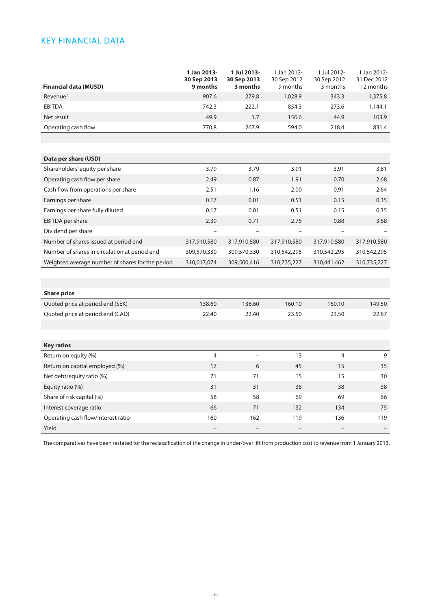## KEY FINANCIAL DATA

| <b>Financial data (MUSD)</b>                     | 1 Jan 2013-<br>30 Sep 2013<br>9 months | 1 Jul 2013-<br>30 Sep 2013<br>3 months | 1 Jan 2012-<br>30 Sep 2012<br>9 months | 1 Jul 2012-<br>30 Sep 2012<br>3 months | 1 Jan 2012-<br>31 Dec 2012<br>12 months |
|--------------------------------------------------|----------------------------------------|----------------------------------------|----------------------------------------|----------------------------------------|-----------------------------------------|
| Revenue <sup>1</sup>                             | 907.6                                  | 279.8                                  | 1,028.9                                | 343.3                                  | 1,375.8                                 |
| <b>EBITDA</b>                                    | 742.3                                  | 222.1                                  | 854.3                                  | 273.6                                  | 1,144.1                                 |
| Net result                                       | 49.9                                   | 1.7                                    | 156.6                                  | 44.9                                   | 103.9                                   |
| Operating cash flow                              | 770.8                                  | 267.9                                  | 594.0                                  | 218.4                                  | 831.4                                   |
|                                                  |                                        |                                        |                                        |                                        |                                         |
|                                                  |                                        |                                        |                                        |                                        |                                         |
| Data per share (USD)                             |                                        |                                        |                                        |                                        |                                         |
| Shareholders' equity per share                   | 3.79                                   | 3.79                                   | 3.91                                   | 3.91                                   | 3.81                                    |
| Operating cash flow per share                    | 2.49                                   | 0.87                                   | 1.91                                   | 0.70                                   | 2.68                                    |
| Cash flow from operations per share              | 2.51                                   | 1.16                                   | 2.00                                   | 0.91                                   | 2.64                                    |
| Earnings per share                               | 0.17                                   | 0.01                                   | 0.51                                   | 0.15                                   | 0.35                                    |
| Earnings per share fully diluted                 | 0.17                                   | 0.01                                   | 0.51                                   | 0.15                                   | 0.35                                    |
| EBITDA per share                                 | 2.39                                   | 0.71                                   | 2.75                                   | 0.88                                   | 3.68                                    |
| Dividend per share                               |                                        |                                        |                                        |                                        |                                         |
| Number of shares issued at period end            | 317,910,580                            | 317,910,580                            | 317,910,580                            | 317,910,580                            | 317,910,580                             |
| Number of shares in circulation at period end    | 309,570,330                            | 309,570,330                            | 310,542,295                            | 310,542,295                            | 310,542,295                             |
| Weighted average number of shares for the period | 310,017,074                            | 309,500,416                            | 310,735,227                            | 310,441,462                            | 310,735,227                             |
|                                                  |                                        |                                        |                                        |                                        |                                         |
|                                                  |                                        |                                        |                                        |                                        |                                         |
| <b>Share price</b>                               |                                        |                                        |                                        |                                        |                                         |
| Quoted price at period end (SEK)                 | 138.60                                 | 138.60                                 | 160.10                                 | 160.10                                 | 149.50                                  |
| Quoted price at period end (CAD)                 | 22.40                                  | 22.40                                  | 23.50                                  | 23.50                                  | 22.87                                   |
|                                                  |                                        |                                        |                                        |                                        |                                         |
|                                                  |                                        |                                        |                                        |                                        |                                         |
| <b>Key ratios</b>                                |                                        |                                        |                                        |                                        |                                         |
| Return on equity (%)                             | $\overline{4}$                         |                                        | 13                                     | $\overline{4}$                         | 9                                       |
| Return on capital employed (%)                   | 17                                     | 6                                      | 45                                     | 15                                     | 35                                      |
| Net debt/equity ratio (%)                        | 71                                     | 71                                     | 15                                     | 15                                     | 30                                      |
| Equity ratio (%)                                 | 31                                     | 31                                     | 38                                     | 38                                     | 38                                      |
| Share of risk capital (%)                        | 58                                     | 58                                     | 69                                     | 69                                     | 66                                      |
| Interest coverage ratio                          | 66                                     | 71                                     | 132                                    | 134                                    | 75                                      |
| Operating cash flow/interest ratio               | 160                                    | 162                                    | 119                                    | 136                                    | 119                                     |
| Yield                                            | $\overline{\phantom{0}}$               | $\overline{\phantom{0}}$               |                                        | $\overline{\phantom{0}}$               | $\overline{\phantom{0}}$                |

<sup>1</sup>The comparatives have been restated for the reclassification of the change in under/over lift from production cost to revenue from 1 January 2013.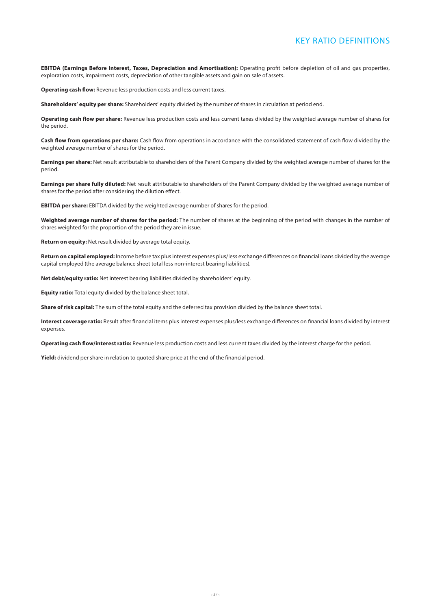### KEY RATIO DEFINITIONS

**EBITDA (Earnings Before Interest, Taxes, Depreciation and Amortisation):** Operating profit before depletion of oil and gas properties, exploration costs, impairment costs, depreciation of other tangible assets and gain on sale of assets.

**Operating cash flow:** Revenue less production costs and less current taxes.

**Shareholders' equity per share:** Shareholders' equity divided by the number of shares in circulation at period end.

**Operating cash flow per share:** Revenue less production costs and less current taxes divided by the weighted average number of shares for the period.

**Cash flow from operations per share:** Cash flow from operations in accordance with the consolidated statement of cash flow divided by the weighted average number of shares for the period.

**Earnings per share:** Net result attributable to shareholders of the Parent Company divided by the weighted average number of shares for the period.

**Earnings per share fully diluted:** Net result attributable to shareholders of the Parent Company divided by the weighted average number of shares for the period after considering the dilution effect.

**EBITDA per share:** EBITDA divided by the weighted average number of shares for the period.

**Weighted average number of shares for the period:** The number of shares at the beginning of the period with changes in the number of shares weighted for the proportion of the period they are in issue.

**Return on equity:** Net result divided by average total equity.

**Return on capital employed:** Income before tax plus interest expenses plus/less exchange differences on financial loans divided by the average capital employed (the average balance sheet total less non-interest bearing liabilities).

**Net debt/equity ratio:** Net interest bearing liabilities divided by shareholders' equity.

**Equity ratio:** Total equity divided by the balance sheet total.

**Share of risk capital:** The sum of the total equity and the deferred tax provision divided by the balance sheet total.

**Interest coverage ratio:** Result after financial items plus interest expenses plus/less exchange differences on financial loans divided by interest expenses.

**Operating cash flow/interest ratio:** Revenue less production costs and less current taxes divided by the interest charge for the period.

**Yield:** dividend per share in relation to quoted share price at the end of the financial period.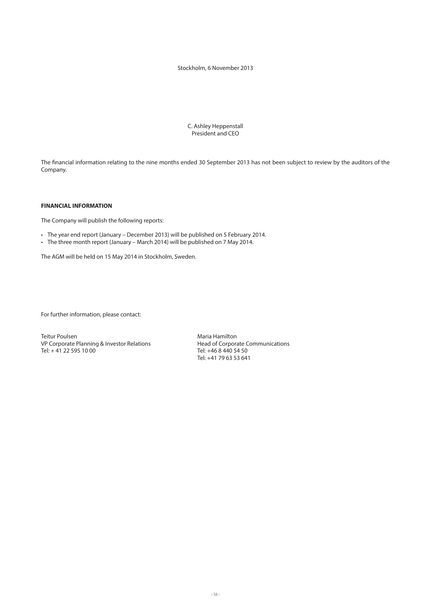Stockholm, 6 November 2013

C. Ashley Heppenstall President and CEO

The financial information relating to the nine months ended 30 September 2013 has not been subject to review by the auditors of the Company.

#### **FINANCIAL INFORMATION**

The Company will publish the following reports:

- • The year end report (January December 2013) will be published on 5 February 2014.
- The three month report (January March 2014) will be published on 7 May 2014.

The AGM will be held on 15 May 2014 in Stockholm, Sweden.

For further information, please contact:

Teitur Poulsen<br>
VP Corporate Planning & Investor Relations<br>
Mead of Corporate Communications<br>
Mead of Corporate Communications VP Corporate Planning & Investor Relations Head of Corporate Communications Head of Corporate Communications Head of Corporate Communications Head of A40 54 50 Tel:  $+41$  22 595 10 00

Tel: +41 79 63 53 641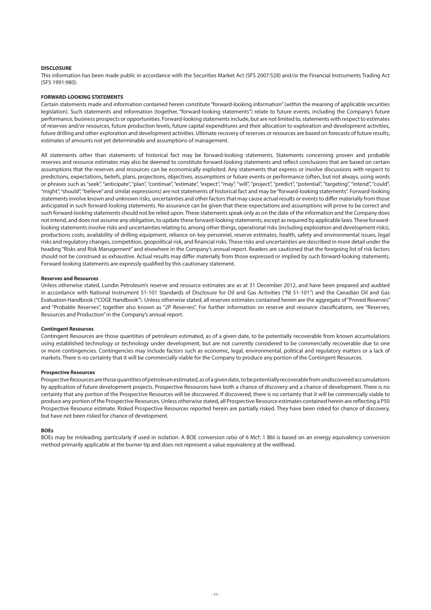#### **DISCLOSURE**

This information has been made public in accordance with the Securities Market Act (SFS 2007:528) and/or the Financial Instruments Trading Act (SFS 1991:980).

#### **FORWARD-LOOKING STATEMENTS**

Certain statements made and information contained herein constitute "forward-looking information" (within the meaning of applicable securities legislation). Such statements and information (together, "forward-looking statements") relate to future events, including the Company's future performance, business prospects or opportunities. Forward-looking statements include, but are not limited to, statements with respect to estimates of reserves and/or resources, future production levels, future capital expenditures and their allocation to exploration and development activities, future drilling and other exploration and development activities. Ultimate recovery of reserves or resources are based on forecasts of future results, estimates of amounts not yet determinable and assumptions of management.

All statements other than statements of historical fact may be forward-looking statements. Statements concerning proven and probable reserves and resource estimates may also be deemed to constitute forward-looking statements and reflect conclusions that are based on certain assumptions that the reserves and resources can be economically exploited. Any statements that express or involve discussions with respect to predictions, expectations, beliefs, plans, projections, objectives, assumptions or future events or performance (often, but not always, using words or phrases such as "seek", "anticipate", "plan", "continue", "estimate", "expect", "may", "will", "project", "predict", "potential", "targeting", "intend", "could", "might", "should", "believe" and similar expressions) are not statements of historical fact and may be "forward-looking statements". Forward-looking statements involve known and unknown risks, uncertainties and other factors that may cause actual results or events to differ materially from those anticipated in such forward-looking statements. No assurance can be given that these expectations and assumptions will prove to be correct and such forward-looking statements should not be relied upon. These statements speak only as on the date of the information and the Company does not intend, and does not assume any obligation, to update these forward-looking statements, except as required by applicable laws. These forwardlooking statements involve risks and uncertainties relating to, among other things, operational risks (including exploration and development risks), productions costs, availability of drilling equipment, reliance on key personnel, reserve estimates, health, safety and environmental issues, legal risks and regulatory changes, competition, geopolitical risk, and financial risks. These risks and uncertainties are described in more detail under the heading "Risks and Risk Management" and elsewhere in the Company's annual report. Readers are cautioned that the foregoing list of risk factors should not be construed as exhaustive. Actual results may differ materially from those expressed or implied by such forward-looking statements. Forward-looking statements are expressly qualified by this cautionary statement.

#### **Reserves and Resources**

Unless otherwise stated, Lundin Petroleum's reserve and resource estimates are as at 31 December 2012, and have been prepared and audited in accordance with National Instrument 51-101 Standards of Disclosure for Oil and Gas Activities ("NI 51-101") and the Canadian Oil and Gas Evaluation Handbook ("COGE Handbook"). Unless otherwise stated, all reserves estimates contained herein are the aggregate of "Proved Reserves" and "Probable Reserves", together also known as "2P Reserves". For further information on reserve and resource classifications, see "Reserves, Resources and Production" in the Company's annual report.

#### **Contingent Resources**

Contingent Resources are those quantities of petroleum estimated, as of a given date, to be potentially recoverable from known accumulations using established technology or technology under development, but are not currently considered to be commercially recoverable due to one or more contingencies. Contingencies may include factors such as economic, legal, environmental, political and regulatory matters or a lack of markets. There is no certainty that it will be commercially viable for the Company to produce any portion of the Contingent Resources.

#### **Prospective Resources**

Prospective Resources are those quantities of petroleum estimated, as of a given date, to be potentially recoverable from undiscovered accumulations by application of future development projects. Prospective Resources have both a chance of discovery and a chance of development. There is no certainty that any portion of the Prospective Resources will be discovered. If discovered, there is no certainty that it will be commercially viable to produce any portion of the Prospective Resources. Unless otherwise stated, all Prospective Resource estimates contained herein are reflecting a P50 Prospective Resource estimate. Risked Prospective Resources reported herein are partially risked. They have been risked for chance of discovery, but have not been risked for chance of development.

#### **BOEs**

BOEs may be misleading, particularly if used in isolation. A BOE conversion ratio of 6 Mcf: 1 Bbl is based on an energy equivalency conversion method primarily applicable at the burner tip and does not represent a value equivalency at the wellhead.